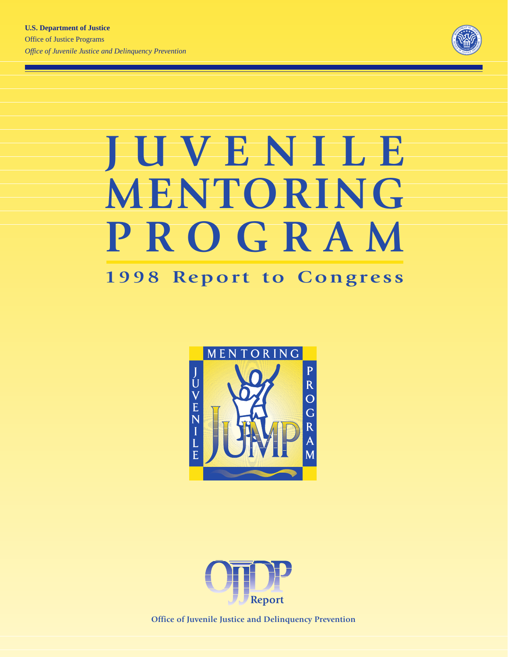

# **JUVENILE MENTORING PROGRAM**

## **1998 Report to Congress**





**Office of Juvenile Justice and Delinquency Prevention**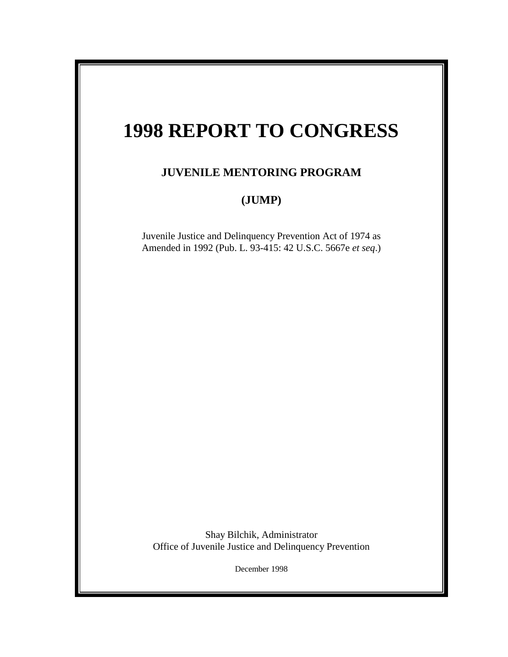# **1998 REPORT TO CONGRESS**

## **JUVENILE MENTORING PROGRAM**

## **(JUMP)**

Juvenile Justice and Delinquency Prevention Act of 1974 as Amended in 1992 (Pub. L. 93-415: 42 U.S.C. 5667e *et seq*.)

Shay Bilchik, Administrator Office of Juvenile Justice and Delinquency Prevention

December 1998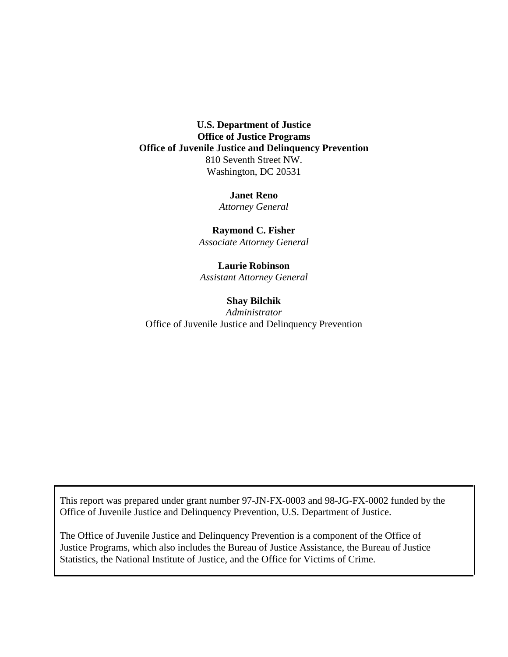**U.S. Department of Justice Office of Justice Programs Office of Juvenile Justice and Delinquency Prevention** 810 Seventh Street NW. Washington, DC 20531

#### **Janet Reno**

*Attorney General*

**Raymond C. Fisher** *Associate Attorney General*

**Laurie Robinson** *Assistant Attorney General*

## **Shay Bilchik** *Administrator* Office of Juvenile Justice and Delinquency Prevention

This report was prepared under grant number 97-JN-FX-0003 and 98-JG-FX-0002 funded by the Office of Juvenile Justice and Delinquency Prevention, U.S. Department of Justice.

The Office of Juvenile Justice and Delinquency Prevention is a component of the Office of Justice Programs, which also includes the Bureau of Justice Assistance, the Bureau of Justice Statistics, the National Institute of Justice, and the Office for Victims of Crime.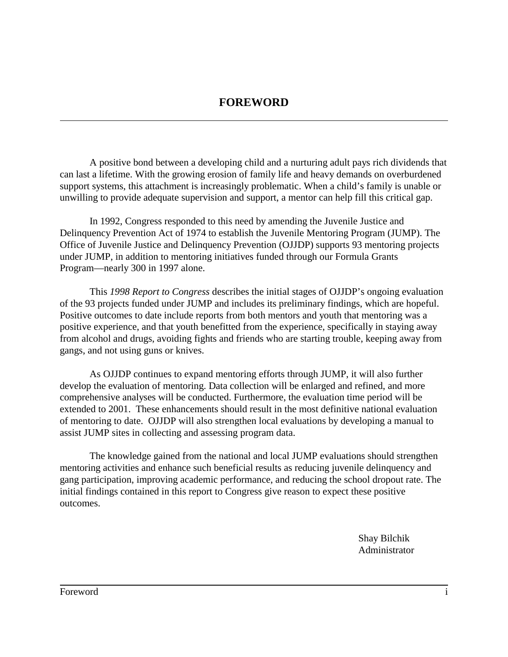A positive bond between a developing child and a nurturing adult pays rich dividends that can last a lifetime. With the growing erosion of family life and heavy demands on overburdened support systems, this attachment is increasingly problematic. When a child's family is unable or unwilling to provide adequate supervision and support, a mentor can help fill this critical gap.

In 1992, Congress responded to this need by amending the Juvenile Justice and Delinquency Prevention Act of 1974 to establish the Juvenile Mentoring Program (JUMP). The Office of Juvenile Justice and Delinquency Prevention (OJJDP) supports 93 mentoring projects under JUMP, in addition to mentoring initiatives funded through our Formula Grants Program—nearly 300 in 1997 alone.

This *1998 Report to Congress* describes the initial stages of OJJDP's ongoing evaluation of the 93 projects funded under JUMP and includes its preliminary findings, which are hopeful. Positive outcomes to date include reports from both mentors and youth that mentoring was a positive experience, and that youth benefitted from the experience, specifically in staying away from alcohol and drugs, avoiding fights and friends who are starting trouble, keeping away from gangs, and not using guns or knives.

As OJJDP continues to expand mentoring efforts through JUMP, it will also further develop the evaluation of mentoring. Data collection will be enlarged and refined, and more comprehensive analyses will be conducted. Furthermore, the evaluation time period will be extended to 2001. These enhancements should result in the most definitive national evaluation of mentoring to date. OJJDP will also strengthen local evaluations by developing a manual to assist JUMP sites in collecting and assessing program data.

The knowledge gained from the national and local JUMP evaluations should strengthen mentoring activities and enhance such beneficial results as reducing juvenile delinquency and gang participation, improving academic performance, and reducing the school dropout rate. The initial findings contained in this report to Congress give reason to expect these positive outcomes.

> Shay Bilchik Administrator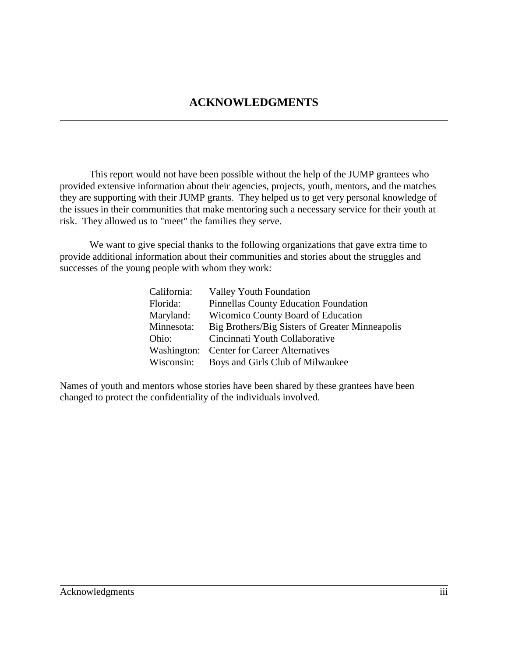This report would not have been possible without the help of the JUMP grantees who provided extensive information about their agencies, projects, youth, mentors, and the matches they are supporting with their JUMP grants. They helped us to get very personal knowledge of the issues in their communities that make mentoring such a necessary service for their youth at risk. They allowed us to "meet" the families they serve.

We want to give special thanks to the following organizations that gave extra time to provide additional information about their communities and stories about the struggles and successes of the young people with whom they work:

| California: | <b>Valley Youth Foundation</b>                  |
|-------------|-------------------------------------------------|
| Florida:    | Pinnellas County Education Foundation           |
| Maryland:   | Wicomico County Board of Education              |
| Minnesota:  | Big Brothers/Big Sisters of Greater Minneapolis |
| Ohio:       | Cincinnati Youth Collaborative                  |
|             | Washington: Center for Career Alternatives      |
| Wisconsin:  | Boys and Girls Club of Milwaukee                |

Names of youth and mentors whose stories have been shared by these grantees have been changed to protect the confidentiality of the individuals involved.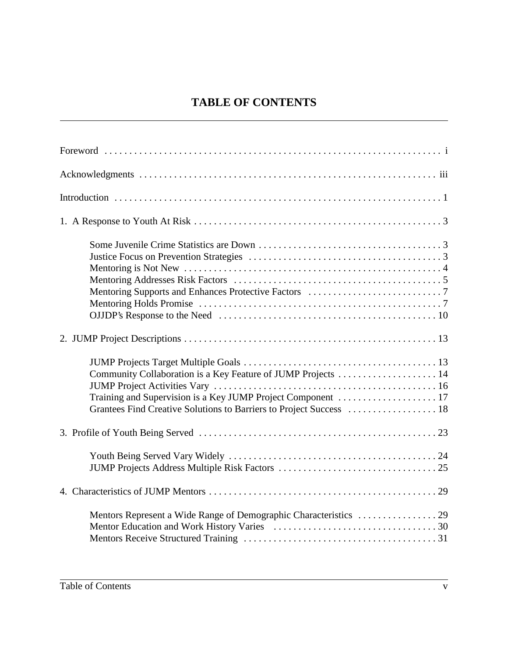## **TABLE OF CONTENTS**

| Community Collaboration is a Key Feature of JUMP Projects  14<br>Grantees Find Creative Solutions to Barriers to Project Success  18 |
|--------------------------------------------------------------------------------------------------------------------------------------|
|                                                                                                                                      |
|                                                                                                                                      |
|                                                                                                                                      |
|                                                                                                                                      |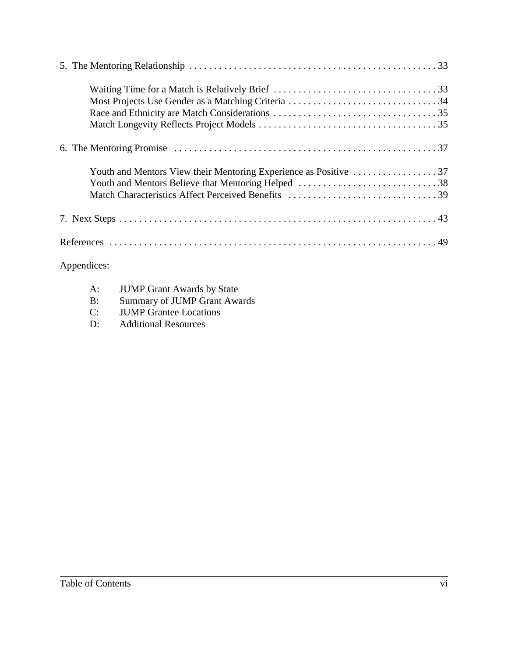| $\mathbf{A}$ and $\mathbf{A}$ are the set of $\mathbf{A}$ and $\mathbf{A}$ are the set of $\mathbf{A}$ |
|--------------------------------------------------------------------------------------------------------|

## Appendices:

| A: | <b>JUMP Grant Awards by State</b>   |
|----|-------------------------------------|
| B: | <b>Summary of JUMP Grant Awards</b> |

- C: JUMP Grantee Locations<br>D: Additional Resources
- Additional Resources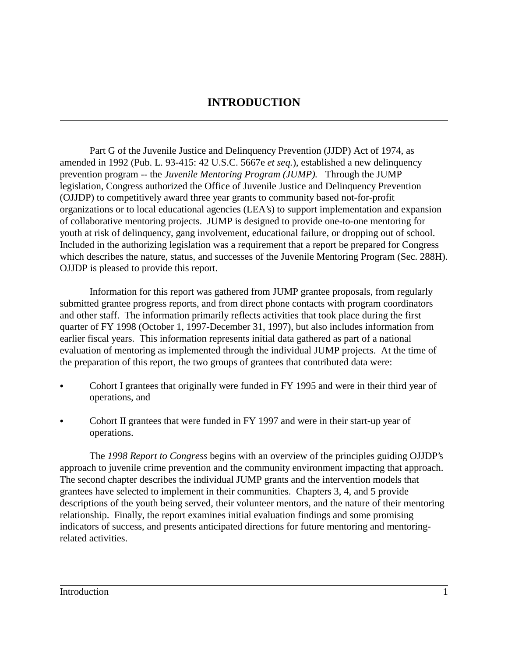## **INTRODUCTION**

Part G of the Juvenile Justice and Delinquency Prevention (JJDP) Act of 1974, as amended in 1992 (Pub. L. 93-415: 42 U.S.C. 5667e *et seq.*), established a new delinquency prevention program -- the *Juvenile Mentoring Program (JUMP).* Through the JUMP legislation, Congress authorized the Office of Juvenile Justice and Delinquency Prevention (OJJDP) to competitively award three year grants to community based not-for-profit organizations or to local educational agencies (LEA's) to support implementation and expansion of collaborative mentoring projects. JUMP is designed to provide one-to-one mentoring for youth at risk of delinquency, gang involvement, educational failure, or dropping out of school. Included in the authorizing legislation was a requirement that a report be prepared for Congress which describes the nature, status, and successes of the Juvenile Mentoring Program (Sec. 288H). OJJDP is pleased to provide this report.

Information for this report was gathered from JUMP grantee proposals, from regularly submitted grantee progress reports, and from direct phone contacts with program coordinators and other staff. The information primarily reflects activities that took place during the first quarter of FY 1998 (October 1, 1997-December 31, 1997), but also includes information from earlier fiscal years. This information represents initial data gathered as part of a national evaluation of mentoring as implemented through the individual JUMP projects. At the time of the preparation of this report, the two groups of grantees that contributed data were:

- Cohort I grantees that originally were funded in FY 1995 and were in their third year of operations, and
- Cohort II grantees that were funded in FY 1997 and were in their start-up year of operations.

The *1998 Report to Congress* begins with an overview of the principles guiding OJJDP's approach to juvenile crime prevention and the community environment impacting that approach. The second chapter describes the individual JUMP grants and the intervention models that grantees have selected to implement in their communities. Chapters 3, 4, and 5 provide descriptions of the youth being served, their volunteer mentors, and the nature of their mentoring relationship. Finally, the report examines initial evaluation findings and some promising indicators of success, and presents anticipated directions for future mentoring and mentoringrelated activities.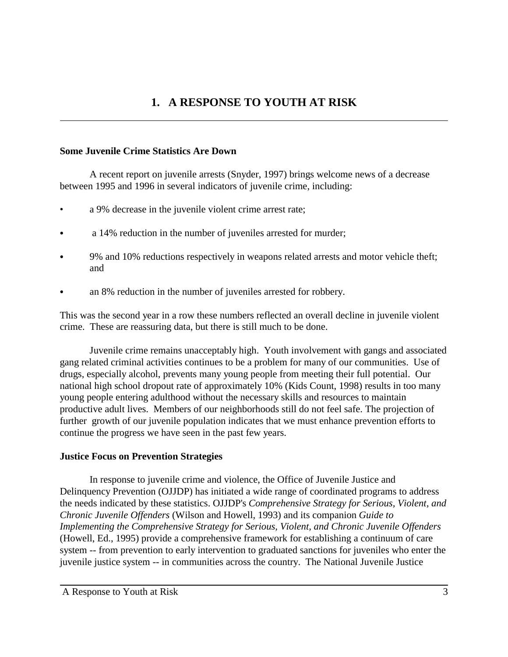## **1. A RESPONSE TO YOUTH AT RISK**

## **Some Juvenile Crime Statistics Are Down**

A recent report on juvenile arrests (Snyder, 1997) brings welcome news of a decrease between 1995 and 1996 in several indicators of juvenile crime, including:

- a 9% decrease in the juvenile violent crime arrest rate;
- a 14% reduction in the number of juveniles arrested for murder;
- 9% and 10% reductions respectively in weapons related arrests and motor vehicle theft; and
- an 8% reduction in the number of juveniles arrested for robbery.

This was the second year in a row these numbers reflected an overall decline in juvenile violent crime. These are reassuring data, but there is still much to be done.

Juvenile crime remains unacceptably high. Youth involvement with gangs and associated gang related criminal activities continues to be a problem for many of our communities. Use of drugs, especially alcohol, prevents many young people from meeting their full potential. Our national high school dropout rate of approximately 10% (Kids Count, 1998) results in too many young people entering adulthood without the necessary skills and resources to maintain productive adult lives. Members of our neighborhoods still do not feel safe. The projection of further growth of our juvenile population indicates that we must enhance prevention efforts to continue the progress we have seen in the past few years.

## **Justice Focus on Prevention Strategies**

In response to juvenile crime and violence, the Office of Juvenile Justice and Delinquency Prevention (OJJDP) has initiated a wide range of coordinated programs to address the needs indicated by these statistics. OJJDP's *Comprehensive Strategy for Serious, Violent, and Chronic Juvenile Offenders* (Wilson and Howell, 1993) and its companion *Guide to Implementing the Comprehensive Strategy for Serious, Violent, and Chronic Juvenile Offenders* (Howell, Ed., 1995) provide a comprehensive framework for establishing a continuum of care system -- from prevention to early intervention to graduated sanctions for juveniles who enter the juvenile justice system -- in communities across the country. The National Juvenile Justice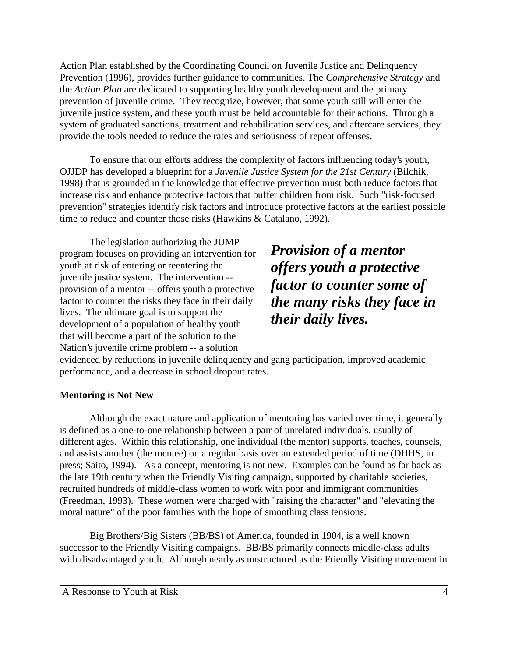Action Plan established by the Coordinating Council on Juvenile Justice and Delinquency Prevention (1996), provides further guidance to communities. The *Comprehensive Strategy* and the *Action Plan* are dedicated to supporting healthy youth development and the primary prevention of juvenile crime. They recognize, however, that some youth still will enter the juvenile justice system, and these youth must be held accountable for their actions. Through a system of graduated sanctions, treatment and rehabilitation services, and aftercare services, they provide the tools needed to reduce the rates and seriousness of repeat offenses.

To ensure that our efforts address the complexity of factors influencing today's youth, OJJDP has developed a blueprint for a *Juvenile Justice System for the 21st Century* (Bilchik, 1998) that is grounded in the knowledge that effective prevention must both reduce factors that increase risk and enhance protective factors that buffer children from risk. Such "risk-focused prevention" strategies identify risk factors and introduce protective factors at the earliest possible time to reduce and counter those risks (Hawkins & Catalano, 1992).

The legislation authorizing the JUMP program focuses on providing an intervention for youth at risk of entering or reentering the juvenile justice system. The intervention - provision of a mentor -- offers youth a protective factor to counter the risks they face in their daily lives. The ultimate goal is to support the development of a population of healthy youth that will become a part of the solution to the Nation's juvenile crime problem -- a solution

*Provision of a mentor offers youth a protective factor to counter some of the many risks they face in their daily lives.*

evidenced by reductions in juvenile delinquency and gang participation, improved academic performance, and a decrease in school dropout rates.

## **Mentoring is Not New**

Although the exact nature and application of mentoring has varied over time, it generally is defined as a one-to-one relationship between a pair of unrelated individuals, usually of different ages. Within this relationship, one individual (the mentor) supports, teaches, counsels, and assists another (the mentee) on a regular basis over an extended period of time (DHHS, in press; Saito, 1994). As a concept, mentoring is not new. Examples can be found as far back as the late 19th century when the Friendly Visiting campaign, supported by charitable societies, recruited hundreds of middle-class women to work with poor and immigrant communities (Freedman, 1993). These women were charged with "raising the character" and "elevating the moral nature" of the poor families with the hope of smoothing class tensions.

Big Brothers/Big Sisters (BB/BS) of America, founded in 1904, is a well known successor to the Friendly Visiting campaigns. BB/BS primarily connects middle-class adults with disadvantaged youth. Although nearly as unstructured as the Friendly Visiting movement in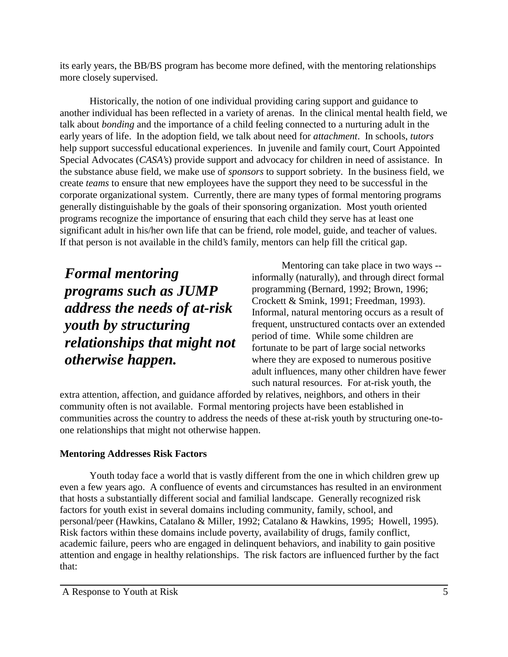its early years, the BB/BS program has become more defined, with the mentoring relationships more closely supervised.

Historically, the notion of one individual providing caring support and guidance to another individual has been reflected in a variety of arenas. In the clinical mental health field, we talk about *bonding* and the importance of a child feeling connected to a nurturing adult in the early years of life. In the adoption field, we talk about need for *attachment*. In schools, *tutors* help support successful educational experiences. In juvenile and family court, Court Appointed Special Advocates (*CASA*'s) provide support and advocacy for children in need of assistance. In the substance abuse field, we make use of *sponsors* to support sobriety. In the business field, we create *teams* to ensure that new employees have the support they need to be successful in the corporate organizational system. Currently, there are many types of formal mentoring programs generally distinguishable by the goals of their sponsoring organization. Most youth oriented programs recognize the importance of ensuring that each child they serve has at least one significant adult in his/her own life that can be friend, role model, guide, and teacher of values. If that person is not available in the child's family, mentors can help fill the critical gap.

*Formal mentoring programs such as JUMP address the needs of at-risk youth by structuring relationships that might not otherwise happen.*

Mentoring can take place in two ways - informally (naturally), and through direct formal programming (Bernard, 1992; Brown, 1996; Crockett & Smink, 1991; Freedman, 1993). Informal, natural mentoring occurs as a result of frequent, unstructured contacts over an extended period of time. While some children are fortunate to be part of large social networks where they are exposed to numerous positive adult influences, many other children have fewer such natural resources. For at-risk youth, the

extra attention, affection, and guidance afforded by relatives, neighbors, and others in their community often is not available. Formal mentoring projects have been established in communities across the country to address the needs of these at-risk youth by structuring one-toone relationships that might not otherwise happen.

## **Mentoring Addresses Risk Factors**

Youth today face a world that is vastly different from the one in which children grew up even a few years ago. A confluence of events and circumstances has resulted in an environment that hosts a substantially different social and familial landscape. Generally recognized risk factors for youth exist in several domains including community, family, school, and personal/peer (Hawkins, Catalano & Miller, 1992; Catalano & Hawkins, 1995; Howell, 1995). Risk factors within these domains include poverty, availability of drugs, family conflict, academic failure, peers who are engaged in delinquent behaviors, and inability to gain positive attention and engage in healthy relationships. The risk factors are influenced further by the fact that: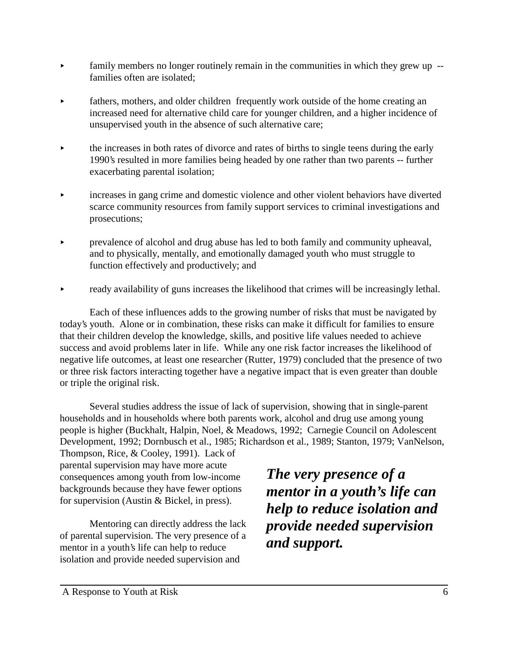- $\blacktriangleright$  family members no longer routinely remain in the communities in which they grew up  $\blacktriangleleft$ families often are isolated;
- < fathers, mothers, and older children frequently work outside of the home creating an increased need for alternative child care for younger children, and a higher incidence of unsupervised youth in the absence of such alternative care;
- < the increases in both rates of divorce and rates of births to single teens during the early 1990's resulted in more families being headed by one rather than two parents -- further exacerbating parental isolation;
- < increases in gang crime and domestic violence and other violent behaviors have diverted scarce community resources from family support services to criminal investigations and prosecutions;
- **Example 1** prevalence of alcohol and drug abuse has led to both family and community upheaval, and to physically, mentally, and emotionally damaged youth who must struggle to function effectively and productively; and
- ready availability of guns increases the likelihood that crimes will be increasingly lethal.

Each of these influences adds to the growing number of risks that must be navigated by today's youth. Alone or in combination, these risks can make it difficult for families to ensure that their children develop the knowledge, skills, and positive life values needed to achieve success and avoid problems later in life. While any one risk factor increases the likelihood of negative life outcomes, at least one researcher (Rutter, 1979) concluded that the presence of two or three risk factors interacting together have a negative impact that is even greater than double or triple the original risk.

Several studies address the issue of lack of supervision, showing that in single-parent households and in households where both parents work, alcohol and drug use among young people is higher (Buckhalt, Halpin, Noel, & Meadows, 1992; Carnegie Council on Adolescent Development, 1992; Dornbusch et al., 1985; Richardson et al., 1989; Stanton, 1979; VanNelson,

Thompson, Rice, & Cooley, 1991). Lack of parental supervision may have more acute consequences among youth from low-income backgrounds because they have fewer options for supervision (Austin & Bickel, in press).

Mentoring can directly address the lack of parental supervision. The very presence of a mentor in a youth's life can help to reduce isolation and provide needed supervision and

*The very presence of a mentor in a youth's life can help to reduce isolation and provide needed supervision and support.*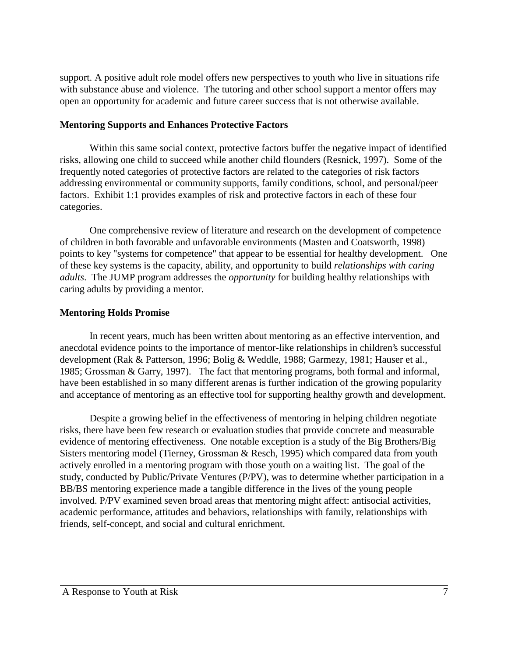support. A positive adult role model offers new perspectives to youth who live in situations rife with substance abuse and violence. The tutoring and other school support a mentor offers may open an opportunity for academic and future career success that is not otherwise available.

## **Mentoring Supports and Enhances Protective Factors**

Within this same social context, protective factors buffer the negative impact of identified risks, allowing one child to succeed while another child flounders (Resnick, 1997). Some of the frequently noted categories of protective factors are related to the categories of risk factors addressing environmental or community supports, family conditions, school, and personal/peer factors. Exhibit 1:1 provides examples of risk and protective factors in each of these four categories.

One comprehensive review of literature and research on the development of competence of children in both favorable and unfavorable environments (Masten and Coatsworth, 1998) points to key "systems for competence" that appear to be essential for healthy development. One of these key systems is the capacity, ability, and opportunity to build *relationships with caring adults*. The JUMP program addresses the *opportunity* for building healthy relationships with caring adults by providing a mentor.

## **Mentoring Holds Promise**

In recent years, much has been written about mentoring as an effective intervention, and anecdotal evidence points to the importance of mentor-like relationships in children's successful development (Rak & Patterson, 1996; Bolig & Weddle, 1988; Garmezy, 1981; Hauser et al., 1985; Grossman & Garry, 1997). The fact that mentoring programs, both formal and informal, have been established in so many different arenas is further indication of the growing popularity and acceptance of mentoring as an effective tool for supporting healthy growth and development.

Despite a growing belief in the effectiveness of mentoring in helping children negotiate risks, there have been few research or evaluation studies that provide concrete and measurable evidence of mentoring effectiveness. One notable exception is a study of the Big Brothers/Big Sisters mentoring model (Tierney, Grossman & Resch, 1995) which compared data from youth actively enrolled in a mentoring program with those youth on a waiting list. The goal of the study, conducted by Public/Private Ventures (P/PV), was to determine whether participation in a BB/BS mentoring experience made a tangible difference in the lives of the young people involved. P/PV examined seven broad areas that mentoring might affect: antisocial activities, academic performance, attitudes and behaviors, relationships with family, relationships with friends, self-concept, and social and cultural enrichment.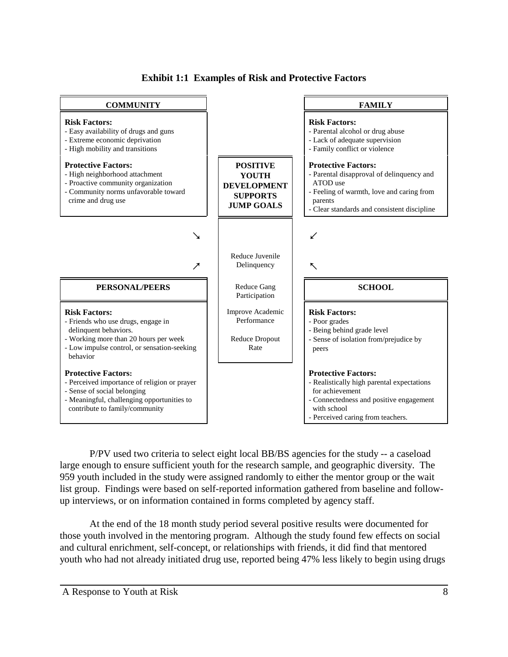

**Exhibit 1:1 Examples of Risk and Protective Factors**

P/PV used two criteria to select eight local BB/BS agencies for the study -- a caseload large enough to ensure sufficient youth for the research sample, and geographic diversity. The 959 youth included in the study were assigned randomly to either the mentor group or the wait list group. Findings were based on self-reported information gathered from baseline and followup interviews, or on information contained in forms completed by agency staff.

At the end of the 18 month study period several positive results were documented for those youth involved in the mentoring program. Although the study found few effects on social and cultural enrichment, self-concept, or relationships with friends, it did find that mentored youth who had not already initiated drug use, reported being 47% less likely to begin using drugs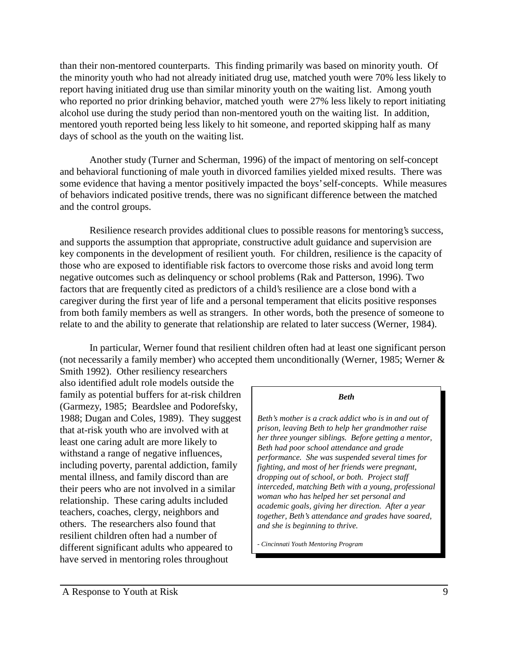than their non-mentored counterparts. This finding primarily was based on minority youth. Of the minority youth who had not already initiated drug use, matched youth were 70% less likely to report having initiated drug use than similar minority youth on the waiting list. Among youth who reported no prior drinking behavior, matched youth were 27% less likely to report initiating alcohol use during the study period than non-mentored youth on the waiting list. In addition, mentored youth reported being less likely to hit someone, and reported skipping half as many days of school as the youth on the waiting list.

Another study (Turner and Scherman, 1996) of the impact of mentoring on self-concept and behavioral functioning of male youth in divorced families yielded mixed results. There was some evidence that having a mentor positively impacted the boys' self-concepts. While measures of behaviors indicated positive trends, there was no significant difference between the matched and the control groups.

Resilience research provides additional clues to possible reasons for mentoring's success, and supports the assumption that appropriate, constructive adult guidance and supervision are key components in the development of resilient youth. For children, resilience is the capacity of those who are exposed to identifiable risk factors to overcome those risks and avoid long term negative outcomes such as delinquency or school problems (Rak and Patterson, 1996). Two factors that are frequently cited as predictors of a child's resilience are a close bond with a caregiver during the first year of life and a personal temperament that elicits positive responses from both family members as well as strangers. In other words, both the presence of someone to relate to and the ability to generate that relationship are related to later success (Werner, 1984).

In particular, Werner found that resilient children often had at least one significant person (not necessarily a family member) who accepted them unconditionally (Werner, 1985; Werner &

Smith 1992). Other resiliency researchers also identified adult role models outside the family as potential buffers for at-risk children (Garmezy, 1985; Beardslee and Podorefsky, 1988; Dugan and Coles, 1989). They suggest that at-risk youth who are involved with at least one caring adult are more likely to withstand a range of negative influences, including poverty, parental addiction, family mental illness, and family discord than are their peers who are not involved in a similar relationship. These caring adults included teachers, coaches, clergy, neighbors and others. The researchers also found that resilient children often had a number of different significant adults who appeared to have served in mentoring roles throughout

#### *Beth*

*Beth's mother is a crack addict who is in and out of prison, leaving Beth to help her grandmother raise her three younger siblings. Before getting a mentor, Beth had poor school attendance and grade performance. She was suspended several times for fighting, and most of her friends were pregnant, dropping out of school, or both. Project staff interceded, matching Beth with a young, professional woman who has helped her set personal and academic goals, giving her direction. After a year together, Beth's attendance and grades have soared, and she is beginning to thrive.*

*- Cincinnati Youth Mentoring Program*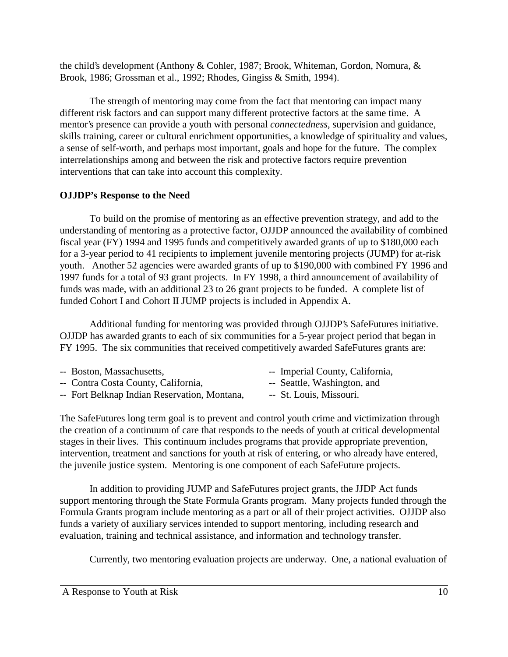the child's development (Anthony & Cohler, 1987; Brook, Whiteman, Gordon, Nomura, & Brook, 1986; Grossman et al., 1992; Rhodes, Gingiss & Smith, 1994).

The strength of mentoring may come from the fact that mentoring can impact many different risk factors and can support many different protective factors at the same time. A mentor's presence can provide a youth with personal *connectedness*, supervision and guidance, skills training, career or cultural enrichment opportunities, a knowledge of spirituality and values, a sense of self-worth, and perhaps most important, goals and hope for the future. The complex interrelationships among and between the risk and protective factors require prevention interventions that can take into account this complexity.

## **OJJDP's Response to the Need**

To build on the promise of mentoring as an effective prevention strategy, and add to the understanding of mentoring as a protective factor, OJJDP announced the availability of combined fiscal year (FY) 1994 and 1995 funds and competitively awarded grants of up to \$180,000 each for a 3-year period to 41 recipients to implement juvenile mentoring projects (JUMP) for at-risk youth. Another 52 agencies were awarded grants of up to \$190,000 with combined FY 1996 and 1997 funds for a total of 93 grant projects. In FY 1998, a third announcement of availability of funds was made, with an additional 23 to 26 grant projects to be funded. A complete list of funded Cohort I and Cohort II JUMP projects is included in Appendix A.

Additional funding for mentoring was provided through OJJDP's SafeFutures initiative. OJJDP has awarded grants to each of six communities for a 5-year project period that began in FY 1995. The six communities that received competitively awarded SafeFutures grants are:

| -- Boston, Massachusetts, |                                              | -- Imperial County, California, |
|---------------------------|----------------------------------------------|---------------------------------|
|                           | -- Contra Costa County, California,          | -- Seattle, Washington, and     |
|                           | -- Fort Belknap Indian Reservation, Montana, | -- St. Louis, Missouri.         |

The SafeFutures long term goal is to prevent and control youth crime and victimization through the creation of a continuum of care that responds to the needs of youth at critical developmental stages in their lives. This continuum includes programs that provide appropriate prevention, intervention, treatment and sanctions for youth at risk of entering, or who already have entered, the juvenile justice system. Mentoring is one component of each SafeFuture projects.

In addition to providing JUMP and SafeFutures project grants, the JJDP Act funds support mentoring through the State Formula Grants program. Many projects funded through the Formula Grants program include mentoring as a part or all of their project activities. OJJDP also funds a variety of auxiliary services intended to support mentoring, including research and evaluation, training and technical assistance, and information and technology transfer.

Currently, two mentoring evaluation projects are underway. One, a national evaluation of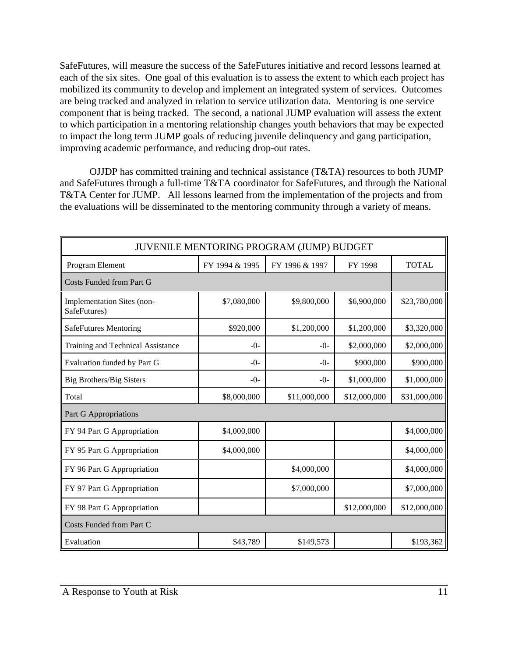SafeFutures, will measure the success of the SafeFutures initiative and record lessons learned at each of the six sites. One goal of this evaluation is to assess the extent to which each project has mobilized its community to develop and implement an integrated system of services. Outcomes are being tracked and analyzed in relation to service utilization data. Mentoring is one service component that is being tracked. The second, a national JUMP evaluation will assess the extent to which participation in a mentoring relationship changes youth behaviors that may be expected to impact the long term JUMP goals of reducing juvenile delinquency and gang participation, improving academic performance, and reducing drop-out rates.

OJJDP has committed training and technical assistance (T&TA) resources to both JUMP and SafeFutures through a full-time T&TA coordinator for SafeFutures, and through the National T&TA Center for JUMP. All lessons learned from the implementation of the projects and from the evaluations will be disseminated to the mentoring community through a variety of means.

| JUVENILE MENTORING PROGRAM (JUMP) BUDGET   |                |                |              |              |  |  |
|--------------------------------------------|----------------|----------------|--------------|--------------|--|--|
| Program Element                            | FY 1994 & 1995 | FY 1996 & 1997 | FY 1998      | <b>TOTAL</b> |  |  |
| Costs Funded from Part G                   |                |                |              |              |  |  |
| Implementation Sites (non-<br>SafeFutures) | \$7,080,000    | \$9,800,000    | \$6,900,000  | \$23,780,000 |  |  |
| <b>SafeFutures Mentoring</b>               | \$920,000      | \$1,200,000    | \$1,200,000  | \$3,320,000  |  |  |
| Training and Technical Assistance          | $-()$ -        | $-()$          | \$2,000,000  | \$2,000,000  |  |  |
| Evaluation funded by Part G                | $-()$ -        | $-()$          | \$900,000    | \$900,000    |  |  |
| <b>Big Brothers/Big Sisters</b>            | $-0-$          | $-0-$          | \$1,000,000  | \$1,000,000  |  |  |
| Total                                      | \$8,000,000    | \$11,000,000   | \$12,000,000 | \$31,000,000 |  |  |
| Part G Appropriations                      |                |                |              |              |  |  |
| FY 94 Part G Appropriation                 | \$4,000,000    |                |              | \$4,000,000  |  |  |
| FY 95 Part G Appropriation                 | \$4,000,000    |                |              | \$4,000,000  |  |  |
| FY 96 Part G Appropriation                 |                | \$4,000,000    |              | \$4,000,000  |  |  |
| FY 97 Part G Appropriation                 |                | \$7,000,000    |              | \$7,000,000  |  |  |
| FY 98 Part G Appropriation                 |                |                | \$12,000,000 | \$12,000,000 |  |  |
| Costs Funded from Part C                   |                |                |              |              |  |  |
| Evaluation                                 | \$43,789       | \$149,573      |              | \$193,362    |  |  |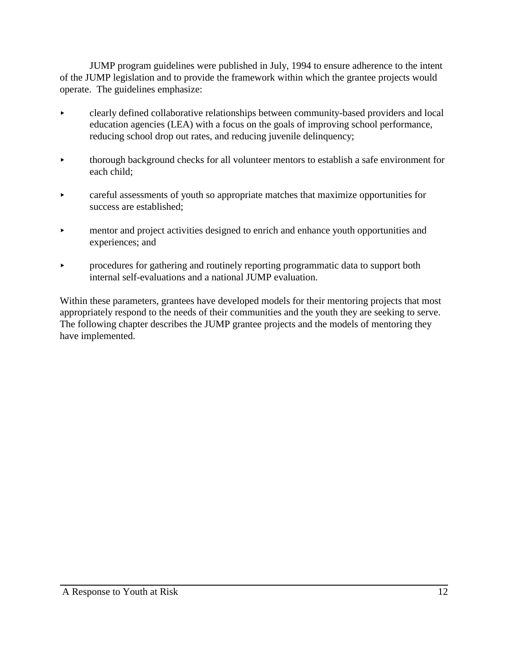JUMP program guidelines were published in July, 1994 to ensure adherence to the intent of the JUMP legislation and to provide the framework within which the grantee projects would operate. The guidelines emphasize:

- < clearly defined collaborative relationships between community-based providers and local education agencies (LEA) with a focus on the goals of improving school performance, reducing school drop out rates, and reducing juvenile delinquency;
- < thorough background checks for all volunteer mentors to establish a safe environment for each child;
- **Example 3** careful assessments of youth so appropriate matches that maximize opportunities for success are established;
- < mentor and project activities designed to enrich and enhance youth opportunities and experiences; and
- **Example 2** procedures for gathering and routinely reporting programmatic data to support both internal self-evaluations and a national JUMP evaluation.

Within these parameters, grantees have developed models for their mentoring projects that most appropriately respond to the needs of their communities and the youth they are seeking to serve. The following chapter describes the JUMP grantee projects and the models of mentoring they have implemented.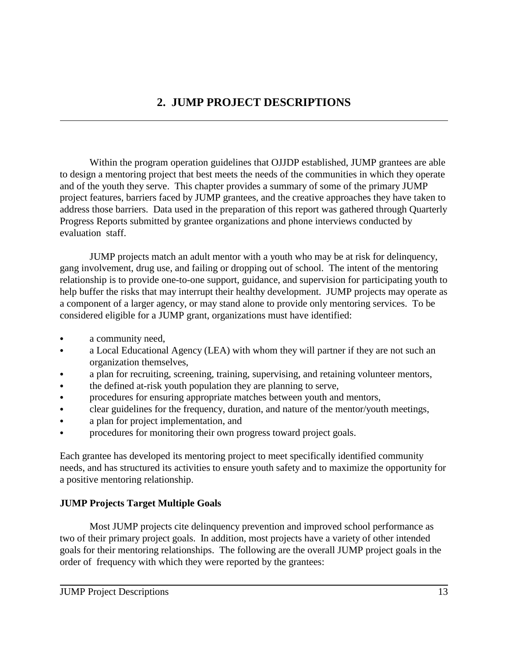Within the program operation guidelines that OJJDP established, JUMP grantees are able to design a mentoring project that best meets the needs of the communities in which they operate and of the youth they serve. This chapter provides a summary of some of the primary JUMP project features, barriers faced by JUMP grantees, and the creative approaches they have taken to address those barriers. Data used in the preparation of this report was gathered through Quarterly Progress Reports submitted by grantee organizations and phone interviews conducted by evaluation staff.

JUMP projects match an adult mentor with a youth who may be at risk for delinquency, gang involvement, drug use, and failing or dropping out of school. The intent of the mentoring relationship is to provide one-to-one support, guidance, and supervision for participating youth to help buffer the risks that may interrupt their healthy development. JUMP projects may operate as a component of a larger agency, or may stand alone to provide only mentoring services. To be considered eligible for a JUMP grant, organizations must have identified:

- a community need,
- a Local Educational Agency (LEA) with whom they will partner if they are not such an organization themselves,
- a plan for recruiting, screening, training, supervising, and retaining volunteer mentors,
- the defined at-risk youth population they are planning to serve,
- procedures for ensuring appropriate matches between youth and mentors,
- clear guidelines for the frequency, duration, and nature of the mentor/youth meetings,
- a plan for project implementation, and
- procedures for monitoring their own progress toward project goals.

Each grantee has developed its mentoring project to meet specifically identified community needs, and has structured its activities to ensure youth safety and to maximize the opportunity for a positive mentoring relationship.

## **JUMP Projects Target Multiple Goals**

Most JUMP projects cite delinquency prevention and improved school performance as two of their primary project goals. In addition, most projects have a variety of other intended goals for their mentoring relationships. The following are the overall JUMP project goals in the order of frequency with which they were reported by the grantees: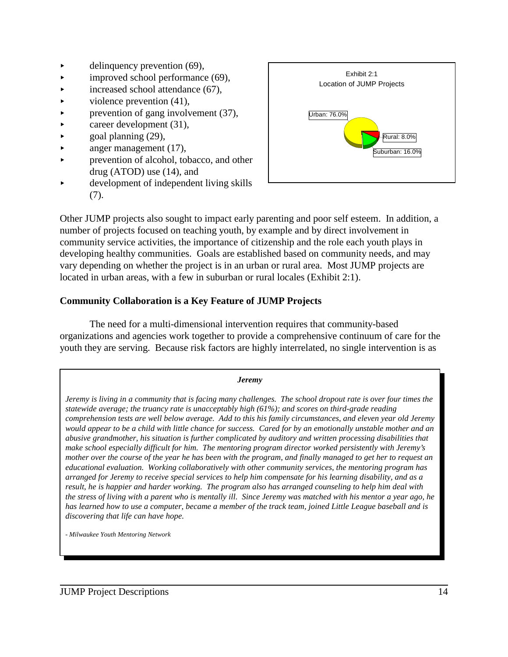- $\blacktriangleright$  delinquency prevention (69),
- $\blacktriangleright$  improved school performance (69),
- $\blacktriangleright$  increased school attendance (67),
- $\blacktriangleright$  violence prevention (41),
- $\triangleright$  prevention of gang involvement (37),
- $\blacktriangleright$  career development (31),
- $\blacktriangleright$  goal planning (29),
- $\blacktriangleright$  anger management (17),
- prevention of alcohol, tobacco, and other drug (ATOD) use (14), and
- < development of independent living skills (7).



Other JUMP projects also sought to impact early parenting and poor self esteem. In addition, a number of projects focused on teaching youth, by example and by direct involvement in community service activities, the importance of citizenship and the role each youth plays in developing healthy communities. Goals are established based on community needs, and may vary depending on whether the project is in an urban or rural area. Most JUMP projects are located in urban areas, with a few in suburban or rural locales (Exhibit 2:1).

## **Community Collaboration is a Key Feature of JUMP Projects**

The need for a multi-dimensional intervention requires that community-based organizations and agencies work together to provide a comprehensive continuum of care for the youth they are serving. Because risk factors are highly interrelated, no single intervention is as

#### *Jeremy Jeremy is living in a community that is facing many challenges. The school dropout rate is over four times the statewide average; the truancy rate is unacceptably high (61%); and scores on third-grade reading comprehension tests are well below average. Add to this his family circumstances, and eleven year old Jeremy would appear to be a child with little chance for success. Cared for by an emotionally unstable mother and an abusive grandmother, his situation is further complicated by auditory and written processing disabilities that make school especially difficult for him. The mentoring program director worked persistently with Jeremy's mother over the course of the year he has been with the program, and finally managed to get her to request an educational evaluation. Working collaboratively with other community services, the mentoring program has arranged for Jeremy to receive special services to help him compensate for his learning disability, and as a result, he is happier and harder working. The program also has arranged counseling to help him deal with the stress of living with a parent who is mentally ill. Since Jeremy was matched with his mentor a year ago, he has learned how to use a computer, became a member of the track team, joined Little League baseball and is discovering that life can have hope.*

*- Milwaukee Youth Mentoring Network*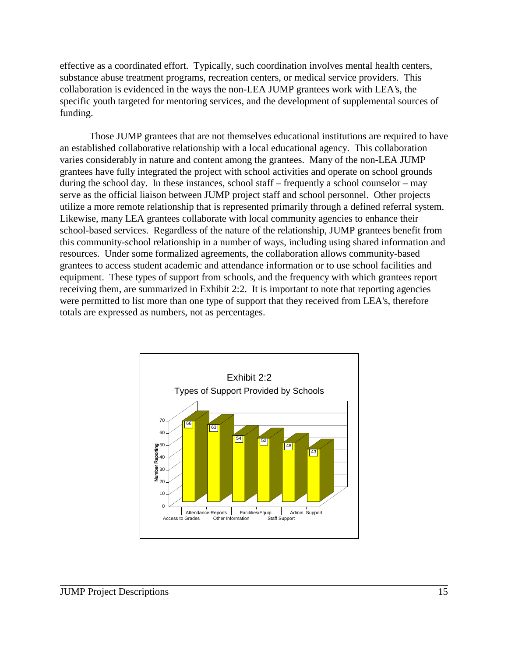effective as a coordinated effort. Typically, such coordination involves mental health centers, substance abuse treatment programs, recreation centers, or medical service providers. This collaboration is evidenced in the ways the non-LEA JUMP grantees work with LEA's, the specific youth targeted for mentoring services, and the development of supplemental sources of funding.

Those JUMP grantees that are not themselves educational institutions are required to have an established collaborative relationship with a local educational agency. This collaboration varies considerably in nature and content among the grantees. Many of the non-LEA JUMP grantees have fully integrated the project with school activities and operate on school grounds during the school day. In these instances, school staff – frequently a school counselor – may serve as the official liaison between JUMP project staff and school personnel. Other projects utilize a more remote relationship that is represented primarily through a defined referral system. Likewise, many LEA grantees collaborate with local community agencies to enhance their school-based services. Regardless of the nature of the relationship, JUMP grantees benefit from this community-school relationship in a number of ways, including using shared information and resources. Under some formalized agreements, the collaboration allows community-based grantees to access student academic and attendance information or to use school facilities and equipment. These types of support from schools, and the frequency with which grantees report receiving them, are summarized in Exhibit 2:2. It is important to note that reporting agencies were permitted to list more than one type of support that they received from LEA's, therefore totals are expressed as numbers, not as percentages.

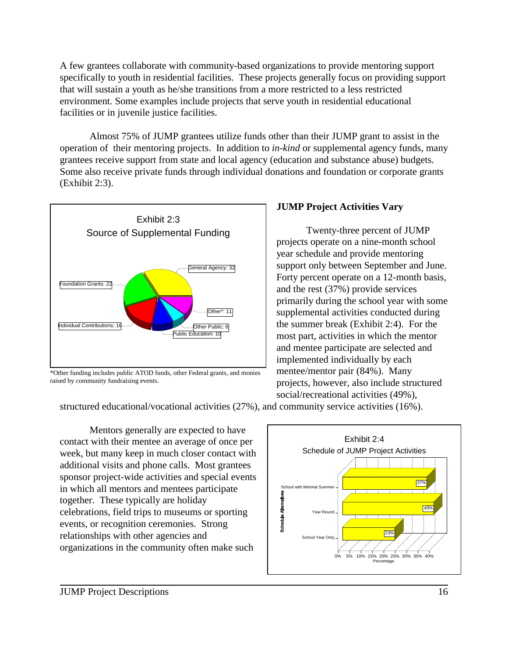A few grantees collaborate with community-based organizations to provide mentoring support specifically to youth in residential facilities. These projects generally focus on providing support that will sustain a youth as he/she transitions from a more restricted to a less restricted environment. Some examples include projects that serve youth in residential educational facilities or in juvenile justice facilities.

Almost 75% of JUMP grantees utilize funds other than their JUMP grant to assist in the operation of their mentoring projects. In addition to *in-kind* or supplemental agency funds, many grantees receive support from state and local agency (education and substance abuse) budgets. Some also receive private funds through individual donations and foundation or corporate grants (Exhibit 2:3).



\*Other funding includes public ATOD funds, other Federal grants, and monies raised by community fundraising events.

## **JUMP Project Activities Vary**

Twenty-three percent of JUMP projects operate on a nine-month school year schedule and provide mentoring support only between September and June. Forty percent operate on a 12-month basis, and the rest (37%) provide services primarily during the school year with some supplemental activities conducted during the summer break (Exhibit 2:4). For the most part, activities in which the mentor and mentee participate are selected and implemented individually by each mentee/mentor pair (84%). Many projects, however, also include structured social/recreational activities (49%),

structured educational/vocational activities (27%), and community service activities (16%).

Mentors generally are expected to have contact with their mentee an average of once per week, but many keep in much closer contact with additional visits and phone calls. Most grantees sponsor project-wide activities and special events in which all mentors and mentees participate together. These typically are holiday celebrations, field trips to museums or sporting events, or recognition ceremonies. Strong relationships with other agencies and organizations in the community often make such

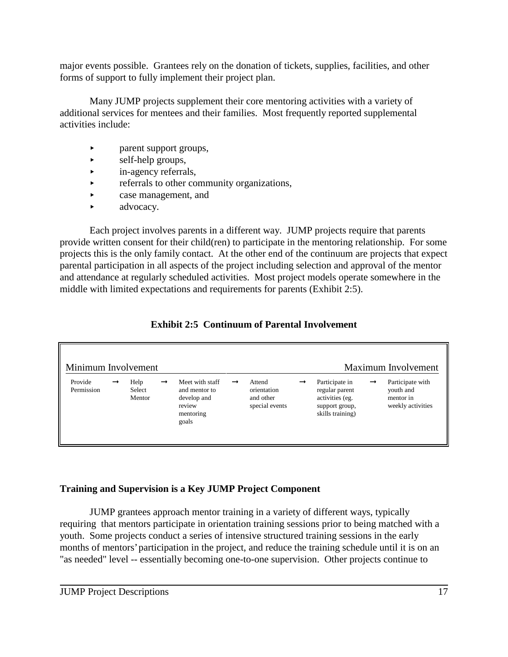major events possible. Grantees rely on the donation of tickets, supplies, facilities, and other forms of support to fully implement their project plan.

Many JUMP projects supplement their core mentoring activities with a variety of additional services for mentees and their families. Most frequently reported supplemental activities include:

- < parent support groups,
- $\blacktriangleright$  self-help groups,
- $\blacktriangleright$  in-agency referrals,
- $\triangleright$  referrals to other community organizations,
- **Example 2** case management, and
- $\blacktriangleright$  advocacy.

Each project involves parents in a different way. JUMP projects require that parents provide written consent for their child(ren) to participate in the mentoring relationship. For some projects this is the only family contact. At the other end of the continuum are projects that expect parental participation in all aspects of the project including selection and approval of the mentor and attendance at regularly scheduled activities. Most project models operate somewhere in the middle with limited expectations and requirements for parents (Exhibit 2:5).

| Minimum Involvement<br>Maximum Involvement |               |                          |               |                                                                                 |               |                                                      |               |                                                                                           |               |                                                                 |
|--------------------------------------------|---------------|--------------------------|---------------|---------------------------------------------------------------------------------|---------------|------------------------------------------------------|---------------|-------------------------------------------------------------------------------------------|---------------|-----------------------------------------------------------------|
| Provide<br>Permission                      | $\rightarrow$ | Help<br>Select<br>Mentor | $\rightarrow$ | Meet with staff<br>and mentor to<br>develop and<br>review<br>mentoring<br>goals | $\rightarrow$ | Attend<br>orientation<br>and other<br>special events | $\rightarrow$ | Participate in<br>regular parent<br>activities (eg.<br>support group,<br>skills training) | $\rightarrow$ | Participate with<br>youth and<br>mentor in<br>weekly activities |

## **Exhibit 2:5 Continuum of Parental Involvement**

## **Training and Supervision is a Key JUMP Project Component**

JUMP grantees approach mentor training in a variety of different ways, typically requiring that mentors participate in orientation training sessions prior to being matched with a youth. Some projects conduct a series of intensive structured training sessions in the early months of mentors' participation in the project, and reduce the training schedule until it is on an "as needed" level -- essentially becoming one-to-one supervision. Other projects continue to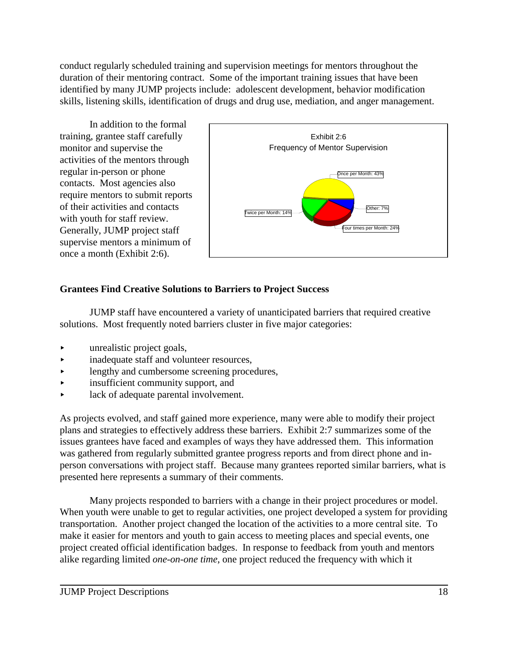conduct regularly scheduled training and supervision meetings for mentors throughout the duration of their mentoring contract. Some of the important training issues that have been identified by many JUMP projects include: adolescent development, behavior modification skills, listening skills, identification of drugs and drug use, mediation, and anger management.

In addition to the formal training, grantee staff carefully monitor and supervise the activities of the mentors through regular in-person or phone contacts. Most agencies also require mentors to submit reports of their activities and contacts with youth for staff review. Generally, JUMP project staff supervise mentors a minimum of once a month (Exhibit 2:6).



## **Grantees Find Creative Solutions to Barriers to Project Success**

JUMP staff have encountered a variety of unanticipated barriers that required creative solutions. Most frequently noted barriers cluster in five major categories:

- **Example 21** unrealistic project goals,
- $\rightarrow$  inadequate staff and volunteer resources,
- **EXECUTE:** lengthy and cumbersome screening procedures,
- < insufficient community support, and
- **Exercise 2** lack of adequate parental involvement.

As projects evolved, and staff gained more experience, many were able to modify their project plans and strategies to effectively address these barriers. Exhibit 2:7 summarizes some of the issues grantees have faced and examples of ways they have addressed them. This information was gathered from regularly submitted grantee progress reports and from direct phone and inperson conversations with project staff. Because many grantees reported similar barriers, what is presented here represents a summary of their comments.

Many projects responded to barriers with a change in their project procedures or model. When youth were unable to get to regular activities, one project developed a system for providing transportation. Another project changed the location of the activities to a more central site. To make it easier for mentors and youth to gain access to meeting places and special events, one project created official identification badges. In response to feedback from youth and mentors alike regarding limited *one-on-one time*, one project reduced the frequency with which it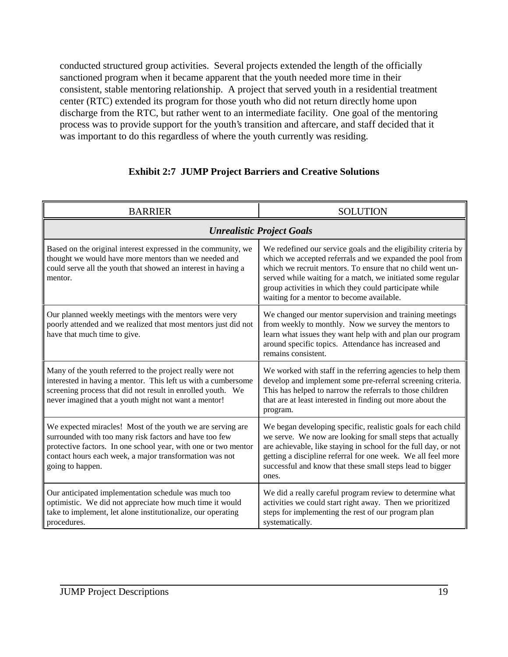conducted structured group activities. Several projects extended the length of the officially sanctioned program when it became apparent that the youth needed more time in their consistent, stable mentoring relationship. A project that served youth in a residential treatment center (RTC) extended its program for those youth who did not return directly home upon discharge from the RTC, but rather went to an intermediate facility. One goal of the mentoring process was to provide support for the youth's transition and aftercare, and staff decided that it was important to do this regardless of where the youth currently was residing.

| <b>BARRIER</b>                                                                                                                                                                                                                                                        | <b>SOLUTION</b>                                                                                                                                                                                                                                                                                                                                                 |  |  |  |
|-----------------------------------------------------------------------------------------------------------------------------------------------------------------------------------------------------------------------------------------------------------------------|-----------------------------------------------------------------------------------------------------------------------------------------------------------------------------------------------------------------------------------------------------------------------------------------------------------------------------------------------------------------|--|--|--|
| <b>Unrealistic Project Goals</b>                                                                                                                                                                                                                                      |                                                                                                                                                                                                                                                                                                                                                                 |  |  |  |
| Based on the original interest expressed in the community, we<br>thought we would have more mentors than we needed and<br>could serve all the youth that showed an interest in having a<br>mentor.                                                                    | We redefined our service goals and the eligibility criteria by<br>which we accepted referrals and we expanded the pool from<br>which we recruit mentors. To ensure that no child went un-<br>served while waiting for a match, we initiated some regular<br>group activities in which they could participate while<br>waiting for a mentor to become available. |  |  |  |
| Our planned weekly meetings with the mentors were very<br>poorly attended and we realized that most mentors just did not<br>have that much time to give.                                                                                                              | We changed our mentor supervision and training meetings<br>from weekly to monthly. Now we survey the mentors to<br>learn what issues they want help with and plan our program<br>around specific topics. Attendance has increased and<br>remains consistent.                                                                                                    |  |  |  |
| Many of the youth referred to the project really were not<br>interested in having a mentor. This left us with a cumbersome<br>screening process that did not result in enrolled youth. We<br>never imagined that a youth might not want a mentor!                     | We worked with staff in the referring agencies to help them<br>develop and implement some pre-referral screening criteria.<br>This has helped to narrow the referrals to those children<br>that are at least interested in finding out more about the<br>program.                                                                                               |  |  |  |
| We expected miracles! Most of the youth we are serving are<br>surrounded with too many risk factors and have too few<br>protective factors. In one school year, with one or two mentor<br>contact hours each week, a major transformation was not<br>going to happen. | We began developing specific, realistic goals for each child<br>we serve. We now are looking for small steps that actually<br>are achievable, like staying in school for the full day, or not<br>getting a discipline referral for one week. We all feel more<br>successful and know that these small steps lead to bigger<br>ones.                             |  |  |  |
| Our anticipated implementation schedule was much too<br>optimistic. We did not appreciate how much time it would<br>take to implement, let alone institutionalize, our operating<br>procedures.                                                                       | We did a really careful program review to determine what<br>activities we could start right away. Then we prioritized<br>steps for implementing the rest of our program plan<br>systematically.                                                                                                                                                                 |  |  |  |

## **Exhibit 2:7 JUMP Project Barriers and Creative Solutions**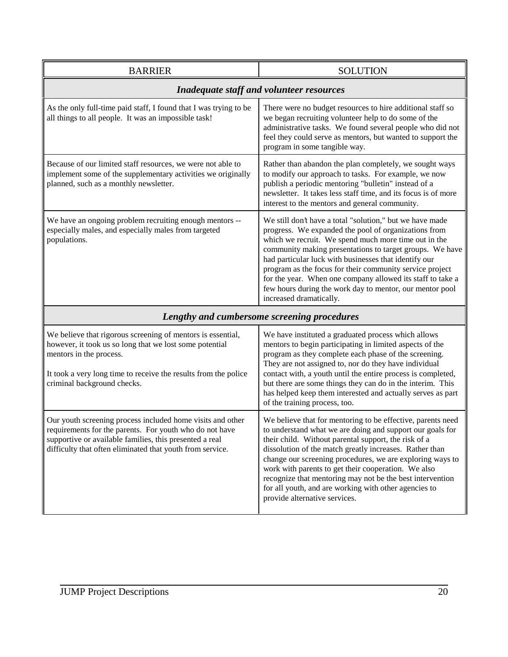| <b>BARRIER</b>                                                                                                                                                                                                                                      | <b>SOLUTION</b>                                                                                                                                                                                                                                                                                                                                                                                                                                                                                                        |  |  |  |  |
|-----------------------------------------------------------------------------------------------------------------------------------------------------------------------------------------------------------------------------------------------------|------------------------------------------------------------------------------------------------------------------------------------------------------------------------------------------------------------------------------------------------------------------------------------------------------------------------------------------------------------------------------------------------------------------------------------------------------------------------------------------------------------------------|--|--|--|--|
| <b>Inadequate staff and volunteer resources</b>                                                                                                                                                                                                     |                                                                                                                                                                                                                                                                                                                                                                                                                                                                                                                        |  |  |  |  |
| As the only full-time paid staff, I found that I was trying to be<br>all things to all people. It was an impossible task!                                                                                                                           | There were no budget resources to hire additional staff so<br>we began recruiting volunteer help to do some of the<br>administrative tasks. We found several people who did not<br>feel they could serve as mentors, but wanted to support the<br>program in some tangible way.                                                                                                                                                                                                                                        |  |  |  |  |
| Because of our limited staff resources, we were not able to<br>implement some of the supplementary activities we originally<br>planned, such as a monthly newsletter.                                                                               | Rather than abandon the plan completely, we sought ways<br>to modify our approach to tasks. For example, we now<br>publish a periodic mentoring "bulletin" instead of a<br>newsletter. It takes less staff time, and its focus is of more<br>interest to the mentors and general community.                                                                                                                                                                                                                            |  |  |  |  |
| We have an ongoing problem recruiting enough mentors --<br>especially males, and especially males from targeted<br>populations.                                                                                                                     | We still don't have a total "solution," but we have made<br>progress. We expanded the pool of organizations from<br>which we recruit. We spend much more time out in the<br>community making presentations to target groups. We have<br>had particular luck with businesses that identify our<br>program as the focus for their community service project<br>for the year. When one company allowed its staff to take a<br>few hours during the work day to mentor, our mentor pool<br>increased dramatically.         |  |  |  |  |
|                                                                                                                                                                                                                                                     | Lengthy and cumbersome screening procedures                                                                                                                                                                                                                                                                                                                                                                                                                                                                            |  |  |  |  |
| We believe that rigorous screening of mentors is essential,<br>however, it took us so long that we lost some potential<br>mentors in the process.<br>It took a very long time to receive the results from the police<br>criminal background checks. | We have instituted a graduated process which allows<br>mentors to begin participating in limited aspects of the<br>program as they complete each phase of the screening.<br>They are not assigned to, nor do they have individual<br>contact with, a youth until the entire process is completed,<br>but there are some things they can do in the interim. This<br>has helped keep them interested and actually serves as part<br>of the training process, too.                                                        |  |  |  |  |
| Our youth screening process included home visits and other<br>requirements for the parents. For youth who do not have<br>supportive or available families, this presented a real<br>difficulty that often eliminated that youth from service.       | We believe that for mentoring to be effective, parents need<br>to understand what we are doing and support our goals for<br>their child. Without parental support, the risk of a<br>dissolution of the match greatly increases. Rather than<br>change our screening procedures, we are exploring ways to<br>work with parents to get their cooperation. We also<br>recognize that mentoring may not be the best intervention<br>for all youth, and are working with other agencies to<br>provide alternative services. |  |  |  |  |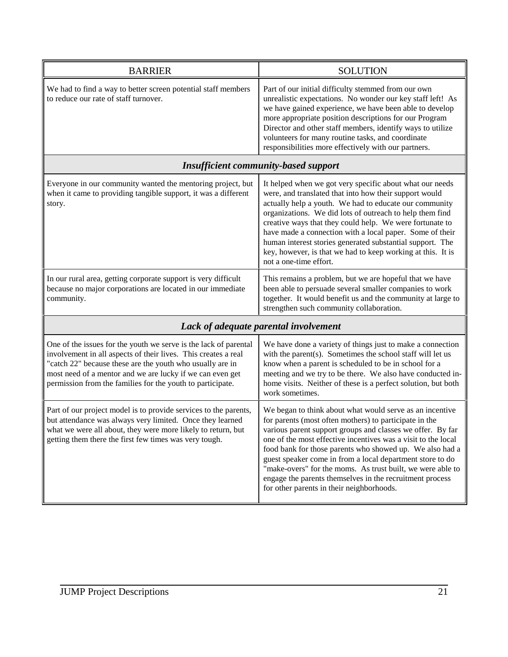| <b>BARRIER</b>                                                                                                                                                                                                                                                                                                             | <b>SOLUTION</b>                                                                                                                                                                                                                                                                                                                                                                                                                                                                                                                                   |
|----------------------------------------------------------------------------------------------------------------------------------------------------------------------------------------------------------------------------------------------------------------------------------------------------------------------------|---------------------------------------------------------------------------------------------------------------------------------------------------------------------------------------------------------------------------------------------------------------------------------------------------------------------------------------------------------------------------------------------------------------------------------------------------------------------------------------------------------------------------------------------------|
| We had to find a way to better screen potential staff members<br>to reduce our rate of staff turnover.                                                                                                                                                                                                                     | Part of our initial difficulty stemmed from our own<br>unrealistic expectations. No wonder our key staff left! As<br>we have gained experience, we have been able to develop<br>more appropriate position descriptions for our Program<br>Director and other staff members, identify ways to utilize<br>volunteers for many routine tasks, and coordinate<br>responsibilities more effectively with our partners.                                                                                                                                 |
|                                                                                                                                                                                                                                                                                                                            | <b>Insufficient community-based support</b>                                                                                                                                                                                                                                                                                                                                                                                                                                                                                                       |
| Everyone in our community wanted the mentoring project, but<br>when it came to providing tangible support, it was a different<br>story.                                                                                                                                                                                    | It helped when we got very specific about what our needs<br>were, and translated that into how their support would<br>actually help a youth. We had to educate our community<br>organizations. We did lots of outreach to help them find<br>creative ways that they could help. We were fortunate to<br>have made a connection with a local paper. Some of their<br>human interest stories generated substantial support. The<br>key, however, is that we had to keep working at this. It is<br>not a one-time effort.                            |
| In our rural area, getting corporate support is very difficult<br>because no major corporations are located in our immediate<br>community.                                                                                                                                                                                 | This remains a problem, but we are hopeful that we have<br>been able to persuade several smaller companies to work<br>together. It would benefit us and the community at large to<br>strengthen such community collaboration.                                                                                                                                                                                                                                                                                                                     |
|                                                                                                                                                                                                                                                                                                                            | Lack of adequate parental involvement                                                                                                                                                                                                                                                                                                                                                                                                                                                                                                             |
| One of the issues for the youth we serve is the lack of parental<br>involvement in all aspects of their lives. This creates a real<br>"catch 22" because these are the youth who usually are in<br>most need of a mentor and we are lucky if we can even get<br>permission from the families for the youth to participate. | We have done a variety of things just to make a connection<br>with the parent(s). Sometimes the school staff will let us<br>know when a parent is scheduled to be in school for a<br>meeting and we try to be there. We also have conducted in-<br>home visits. Neither of these is a perfect solution, but both<br>work sometimes.                                                                                                                                                                                                               |
| Part of our project model is to provide services to the parents,<br>but attendance was always very limited. Once they learned<br>what we were all about, they were more likely to return, but<br>getting them there the first few times was very tough.                                                                    | We began to think about what would serve as an incentive<br>for parents (most often mothers) to participate in the<br>various parent support groups and classes we offer. By far<br>one of the most effective incentives was a visit to the local<br>food bank for those parents who showed up. We also had a<br>guest speaker come in from a local department store to do<br>"make-overs" for the moms. As trust built, we were able to<br>engage the parents themselves in the recruitment process<br>for other parents in their neighborhoods. |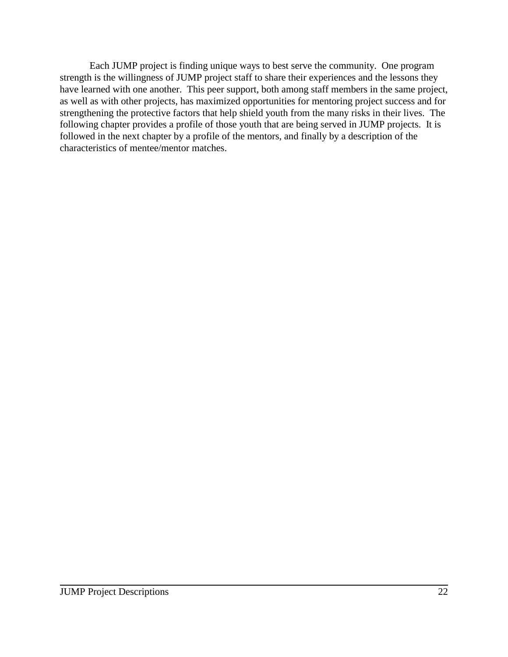Each JUMP project is finding unique ways to best serve the community. One program strength is the willingness of JUMP project staff to share their experiences and the lessons they have learned with one another. This peer support, both among staff members in the same project, as well as with other projects, has maximized opportunities for mentoring project success and for strengthening the protective factors that help shield youth from the many risks in their lives. The following chapter provides a profile of those youth that are being served in JUMP projects. It is followed in the next chapter by a profile of the mentors, and finally by a description of the characteristics of mentee/mentor matches.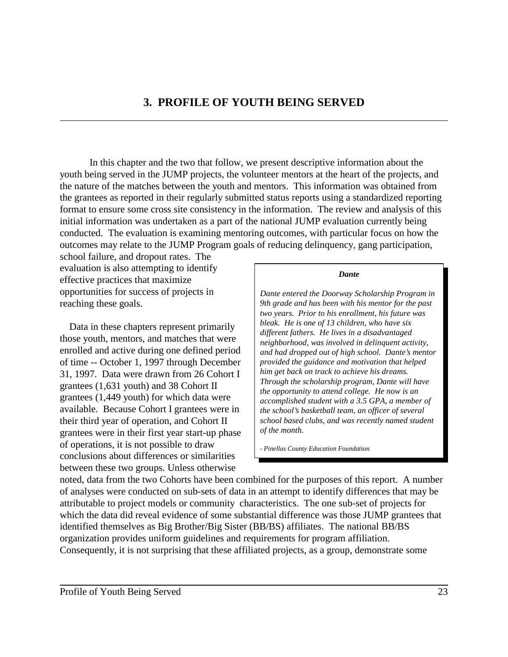In this chapter and the two that follow, we present descriptive information about the youth being served in the JUMP projects, the volunteer mentors at the heart of the projects, and the nature of the matches between the youth and mentors. This information was obtained from the grantees as reported in their regularly submitted status reports using a standardized reporting format to ensure some cross site consistency in the information. The review and analysis of this initial information was undertaken as a part of the national JUMP evaluation currently being conducted. The evaluation is examining mentoring outcomes, with particular focus on how the outcomes may relate to the JUMP Program goals of reducing delinquency, gang participation,

school failure, and dropout rates. The evaluation is also attempting to identify effective practices that maximize opportunities for success of projects in reaching these goals.

Data in these chapters represent primarily those youth, mentors, and matches that were enrolled and active during one defined period of time -- October 1, 1997 through December 31, 1997. Data were drawn from 26 Cohort I grantees (1,631 youth) and 38 Cohort II grantees (1,449 youth) for which data were available. Because Cohort I grantees were in their third year of operation, and Cohort II grantees were in their first year start-up phase of operations, it is not possible to draw conclusions about differences or similarities between these two groups. Unless otherwise

#### *Dante*

*Dante entered the Doorway Scholarship Program in 9th grade and has been with his mentor for the past two years. Prior to his enrollment, his future was bleak. He is one of 13 children, who have six different fathers. He lives in a disadvantaged neighborhood, was involved in delinquent activity, and had dropped out of high school. Dante's mentor provided the guidance and motivation that helped him get back on track to achieve his dreams. Through the scholarship program, Dante will have the opportunity to attend college. He now is an accomplished student with a 3.5 GPA, a member of the school's basketball team, an officer of several school based clubs, and was recently named student of the month.*

*- Pinellas County Education Foundation*

noted, data from the two Cohorts have been combined for the purposes of this report. A number of analyses were conducted on sub-sets of data in an attempt to identify differences that may be attributable to project models or community characteristics. The one sub-set of projects for which the data did reveal evidence of some substantial difference was those JUMP grantees that identified themselves as Big Brother/Big Sister (BB/BS) affiliates. The national BB/BS organization provides uniform guidelines and requirements for program affiliation. Consequently, it is not surprising that these affiliated projects, as a group, demonstrate some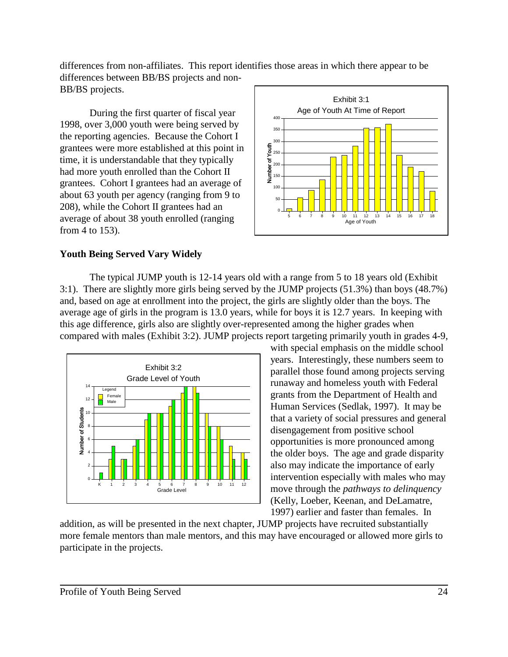differences from non-affiliates. This report identifies those areas in which there appear to be differences between BB/BS projects and non-BB/BS projects.

During the first quarter of fiscal year 1998, over 3,000 youth were being served by the reporting agencies. Because the Cohort I grantees were more established at this point in time, it is understandable that they typically had more youth enrolled than the Cohort II grantees. Cohort I grantees had an average of about 63 youth per agency (ranging from 9 to 208), while the Cohort II grantees had an average of about 38 youth enrolled (ranging from 4 to 153).



## **Youth Being Served Vary Widely**

The typical JUMP youth is 12-14 years old with a range from 5 to 18 years old (Exhibit 3:1). There are slightly more girls being served by the JUMP projects (51.3%) than boys (48.7%) and, based on age at enrollment into the project, the girls are slightly older than the boys. The average age of girls in the program is 13.0 years, while for boys it is 12.7 years. In keeping with this age difference, girls also are slightly over-represented among the higher grades when compared with males (Exhibit 3:2). JUMP projects report targeting primarily youth in grades 4-9,



with special emphasis on the middle school years. Interestingly, these numbers seem to parallel those found among projects serving runaway and homeless youth with Federal grants from the Department of Health and Human Services (Sedlak, 1997). It may be that a variety of social pressures and general disengagement from positive school opportunities is more pronounced among the older boys. The age and grade disparity also may indicate the importance of early intervention especially with males who may move through the *pathways to delinquency*  (Kelly, Loeber, Keenan, and DeLamatre, 1997) earlier and faster than females. In

addition, as will be presented in the next chapter, JUMP projects have recruited substantially more female mentors than male mentors, and this may have encouraged or allowed more girls to participate in the projects.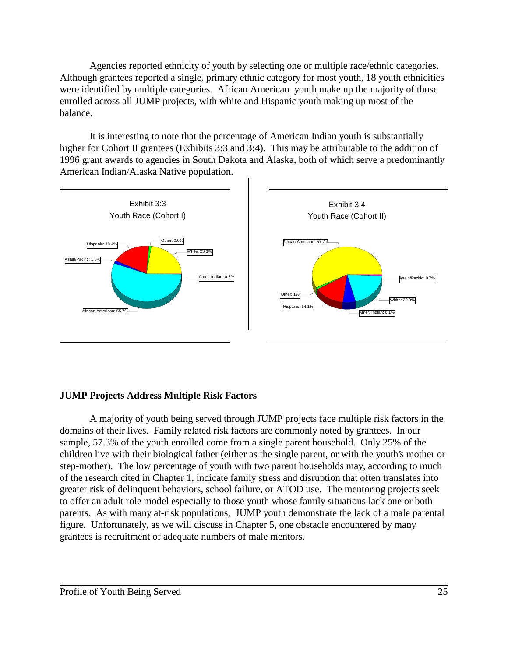Agencies reported ethnicity of youth by selecting one or multiple race/ethnic categories. Although grantees reported a single, primary ethnic category for most youth, 18 youth ethnicities were identified by multiple categories. African American youth make up the majority of those enrolled across all JUMP projects, with white and Hispanic youth making up most of the balance.

It is interesting to note that the percentage of American Indian youth is substantially higher for Cohort II grantees (Exhibits 3:3 and 3:4). This may be attributable to the addition of 1996 grant awards to agencies in South Dakota and Alaska, both of which serve a predominantly American Indian/Alaska Native population.



## **JUMP Projects Address Multiple Risk Factors**

A majority of youth being served through JUMP projects face multiple risk factors in the domains of their lives. Family related risk factors are commonly noted by grantees. In our sample, 57.3% of the youth enrolled come from a single parent household. Only 25% of the children live with their biological father (either as the single parent, or with the youth's mother or step-mother). The low percentage of youth with two parent households may, according to much of the research cited in Chapter 1, indicate family stress and disruption that often translates into greater risk of delinquent behaviors, school failure, or ATOD use. The mentoring projects seek to offer an adult role model especially to those youth whose family situations lack one or both parents. As with many at-risk populations, JUMP youth demonstrate the lack of a male parental figure. Unfortunately, as we will discuss in Chapter 5, one obstacle encountered by many grantees is recruitment of adequate numbers of male mentors.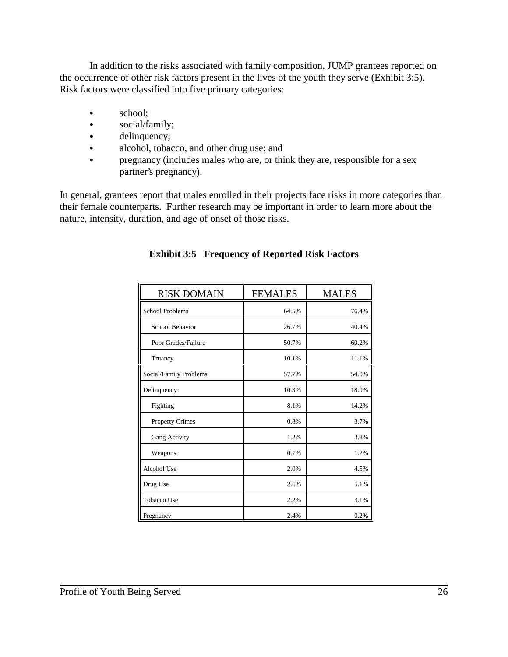In addition to the risks associated with family composition, JUMP grantees reported on the occurrence of other risk factors present in the lives of the youth they serve (Exhibit 3:5). Risk factors were classified into five primary categories:

- $\bullet$  school;
- social/family;
- $\bullet$  delinquency;
- alcohol, tobacco, and other drug use; and
- pregnancy (includes males who are, or think they are, responsible for a sex partner's pregnancy).

In general, grantees report that males enrolled in their projects face risks in more categories than their female counterparts. Further research may be important in order to learn more about the nature, intensity, duration, and age of onset of those risks.

| <b>RISK DOMAIN</b>     | <b>FEMALES</b> | <b>MALES</b> |
|------------------------|----------------|--------------|
| School Problems        | 64.5%          | 76.4%        |
| School Behavior        | 26.7%          | 40.4%        |
| Poor Grades/Failure    | 50.7%          | 60.2%        |
| Truancy                | 10.1%          | 11.1%        |
| Social/Family Problems | 57.7%          | 54.0%        |
| Delinquency:           | 10.3%          | 18.9%        |
| Fighting               | 8.1%           | 14.2%        |
| <b>Property Crimes</b> | 0.8%           | 3.7%         |
| Gang Activity          | 1.2%           | 3.8%         |
| Weapons                | 0.7%           | 1.2%         |
| Alcohol Use            | 2.0%           | 4.5%         |
| Drug Use               | 2.6%           | 5.1%         |
| Tobacco Use            | 2.2%           | 3.1%         |
| Pregnancy              | 2.4%           | 0.2%         |

## **Exhibit 3:5 Frequency of Reported Risk Factors**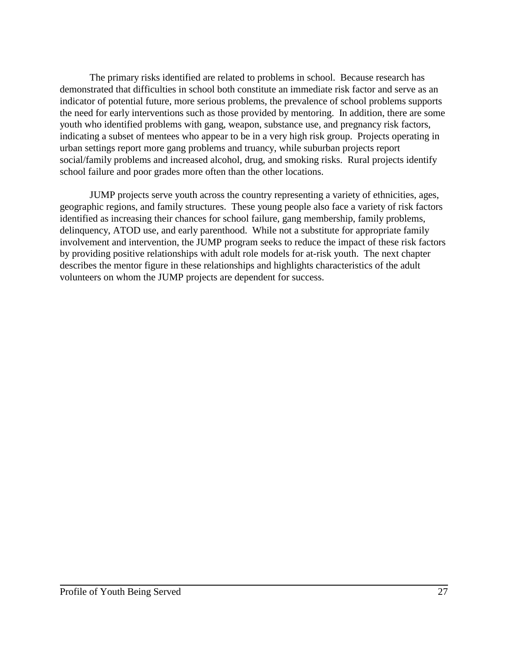The primary risks identified are related to problems in school. Because research has demonstrated that difficulties in school both constitute an immediate risk factor and serve as an indicator of potential future, more serious problems, the prevalence of school problems supports the need for early interventions such as those provided by mentoring. In addition, there are some youth who identified problems with gang, weapon, substance use, and pregnancy risk factors, indicating a subset of mentees who appear to be in a very high risk group. Projects operating in urban settings report more gang problems and truancy, while suburban projects report social/family problems and increased alcohol, drug, and smoking risks. Rural projects identify school failure and poor grades more often than the other locations.

JUMP projects serve youth across the country representing a variety of ethnicities, ages, geographic regions, and family structures. These young people also face a variety of risk factors identified as increasing their chances for school failure, gang membership, family problems, delinquency, ATOD use, and early parenthood. While not a substitute for appropriate family involvement and intervention, the JUMP program seeks to reduce the impact of these risk factors by providing positive relationships with adult role models for at-risk youth. The next chapter describes the mentor figure in these relationships and highlights characteristics of the adult volunteers on whom the JUMP projects are dependent for success.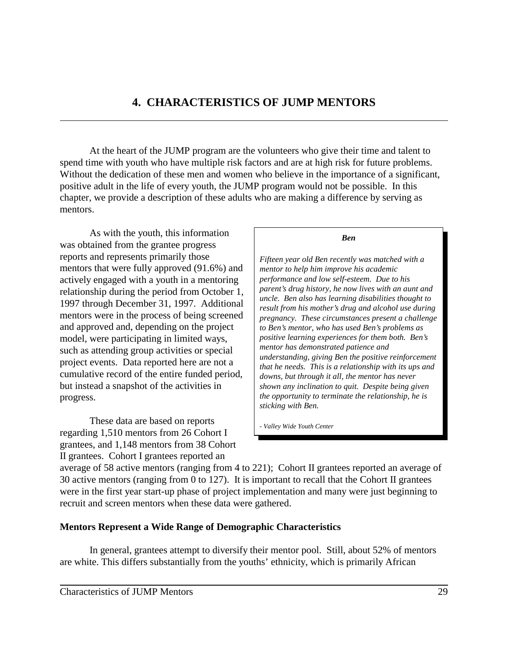## **4. CHARACTERISTICS OF JUMP MENTORS**

At the heart of the JUMP program are the volunteers who give their time and talent to spend time with youth who have multiple risk factors and are at high risk for future problems. Without the dedication of these men and women who believe in the importance of a significant, positive adult in the life of every youth, the JUMP program would not be possible. In this chapter, we provide a description of these adults who are making a difference by serving as mentors.

As with the youth, this information was obtained from the grantee progress reports and represents primarily those mentors that were fully approved (91.6%) and actively engaged with a youth in a mentoring relationship during the period from October 1, 1997 through December 31, 1997. Additional mentors were in the process of being screened and approved and, depending on the project model, were participating in limited ways, such as attending group activities or special project events. Data reported here are not a cumulative record of the entire funded period, but instead a snapshot of the activities in progress.

These data are based on reports regarding 1,510 mentors from 26 Cohort I grantees, and 1,148 mentors from 38 Cohort II grantees. Cohort I grantees reported an

*Ben*

*Fifteen year old Ben recently was matched with a mentor to help him improve his academic performance and low self-esteem. Due to his parent's drug history, he now lives with an aunt and uncle. Ben also has learning disabilities thought to result from his mother's drug and alcohol use during pregnancy. These circumstances present a challenge to Ben's mentor, who has used Ben's problems as positive learning experiences for them both. Ben's mentor has demonstrated patience and understanding, giving Ben the positive reinforcement that he needs. This is a relationship with its ups and downs, but through it all, the mentor has never shown any inclination to quit. Despite being given the opportunity to terminate the relationship, he is sticking with Ben.*

*- Valley Wide Youth Center*

average of 58 active mentors (ranging from 4 to 221); Cohort II grantees reported an average of 30 active mentors (ranging from 0 to 127). It is important to recall that the Cohort II grantees were in the first year start-up phase of project implementation and many were just beginning to recruit and screen mentors when these data were gathered.

## **Mentors Represent a Wide Range of Demographic Characteristics**

In general, grantees attempt to diversify their mentor pool. Still, about 52% of mentors are white. This differs substantially from the youths' ethnicity, which is primarily African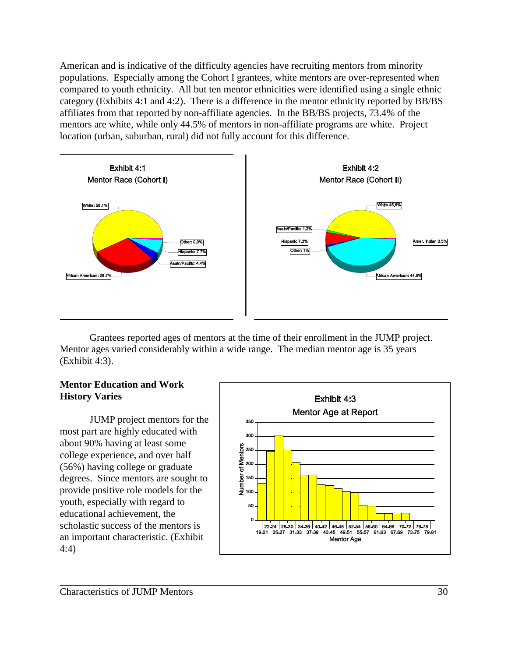American and is indicative of the difficulty agencies have recruiting mentors from minority populations. Especially among the Cohort I grantees, white mentors are over-represented when compared to youth ethnicity. All but ten mentor ethnicities were identified using a single ethnic category (Exhibits 4:1 and 4:2). There is a difference in the mentor ethnicity reported by BB/BS affiliates from that reported by non-affiliate agencies. In the BB/BS projects, 73.4% of the mentors are white, while only 44.5% of mentors in non-affiliate programs are white. Project location (urban, suburban, rural) did not fully account for this difference.



Grantees reported ages of mentors at the time of their enrollment in the JUMP project. Mentor ages varied considerably within a wide range. The median mentor age is 35 years (Exhibit 4:3).

## **Mentor Education and Work History Varies**

JUMP project mentors for the most part are highly educated with about 90% having at least some college experience, and over half (56%) having college or graduate degrees. Since mentors are sought to provide positive role models for the youth, especially with regard to educational achievement, the scholastic success of the mentors is an important characteristic. (Exhibit 4:4)

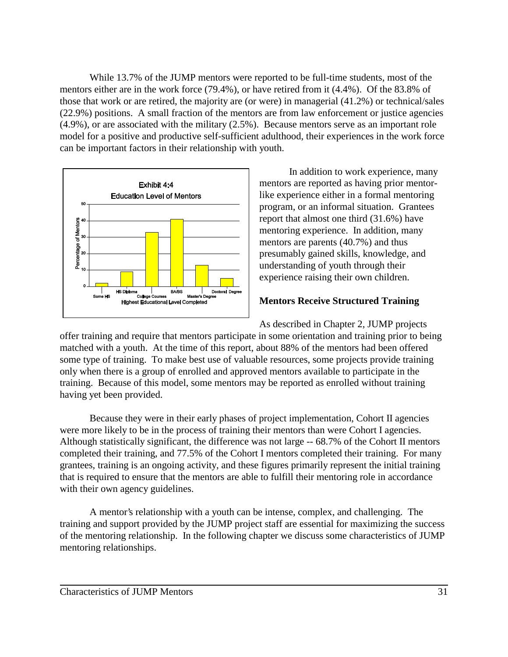While 13.7% of the JUMP mentors were reported to be full-time students, most of the mentors either are in the work force (79.4%), or have retired from it (4.4%). Of the 83.8% of those that work or are retired, the majority are (or were) in managerial (41.2%) or technical/sales (22.9%) positions. A small fraction of the mentors are from law enforcement or justice agencies (4.9%), or are associated with the military (2.5%). Because mentors serve as an important role model for a positive and productive self-sufficient adulthood, their experiences in the work force can be important factors in their relationship with youth.



In addition to work experience, many mentors are reported as having prior mentorlike experience either in a formal mentoring program, or an informal situation. Grantees report that almost one third (31.6%) have mentoring experience. In addition, many mentors are parents (40.7%) and thus presumably gained skills, knowledge, and understanding of youth through their experience raising their own children.

## **Mentors Receive Structured Training**

As described in Chapter 2, JUMP projects offer training and require that mentors participate in some orientation and training prior to being matched with a youth. At the time of this report, about 88% of the mentors had been offered some type of training. To make best use of valuable resources, some projects provide training only when there is a group of enrolled and approved mentors available to participate in the training. Because of this model, some mentors may be reported as enrolled without training having yet been provided.

Because they were in their early phases of project implementation, Cohort II agencies were more likely to be in the process of training their mentors than were Cohort I agencies. Although statistically significant, the difference was not large -- 68.7% of the Cohort II mentors completed their training, and 77.5% of the Cohort I mentors completed their training. For many grantees, training is an ongoing activity, and these figures primarily represent the initial training that is required to ensure that the mentors are able to fulfill their mentoring role in accordance with their own agency guidelines.

A mentor's relationship with a youth can be intense, complex, and challenging. The training and support provided by the JUMP project staff are essential for maximizing the success of the mentoring relationship. In the following chapter we discuss some characteristics of JUMP mentoring relationships.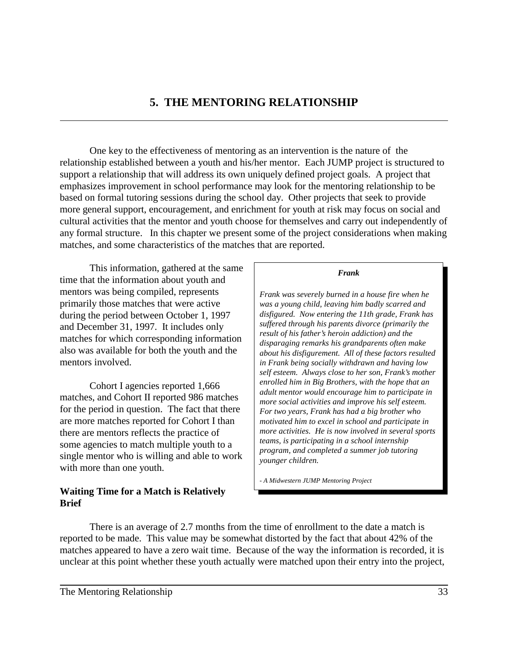## **5. THE MENTORING RELATIONSHIP**

One key to the effectiveness of mentoring as an intervention is the nature of the relationship established between a youth and his/her mentor. Each JUMP project is structured to support a relationship that will address its own uniquely defined project goals. A project that emphasizes improvement in school performance may look for the mentoring relationship to be based on formal tutoring sessions during the school day. Other projects that seek to provide more general support, encouragement, and enrichment for youth at risk may focus on social and cultural activities that the mentor and youth choose for themselves and carry out independently of any formal structure. In this chapter we present some of the project considerations when making matches, and some characteristics of the matches that are reported.

This information, gathered at the same time that the information about youth and mentors was being compiled, represents primarily those matches that were active during the period between October 1, 1997 and December 31, 1997. It includes only matches for which corresponding information also was available for both the youth and the mentors involved.

Cohort I agencies reported 1,666 matches, and Cohort II reported 986 matches for the period in question. The fact that there are more matches reported for Cohort I than there are mentors reflects the practice of some agencies to match multiple youth to a single mentor who is willing and able to work with more than one youth.

## **Waiting Time for a Match is Relatively Brief**

#### *Frank*

*Frank was severely burned in a house fire when he was a young child, leaving him badly scarred and disfigured. Now entering the 11th grade, Frank has suffered through his parents divorce (primarily the result of his father's heroin addiction) and the disparaging remarks his grandparents often make about his disfigurement. All of these factors resulted in Frank being socially withdrawn and having low self esteem. Always close to her son, Frank's mother enrolled him in Big Brothers, with the hope that an adult mentor would encourage him to participate in more social activities and improve his self esteem. For two years, Frank has had a big brother who motivated him to excel in school and participate in more activities. He is now involved in several sports teams, is participating in a school internship program, and completed a summer job tutoring younger children.*

*- A Midwestern JUMP Mentoring Project*

There is an average of 2.7 months from the time of enrollment to the date a match is reported to be made. This value may be somewhat distorted by the fact that about 42% of the matches appeared to have a zero wait time. Because of the way the information is recorded, it is unclear at this point whether these youth actually were matched upon their entry into the project,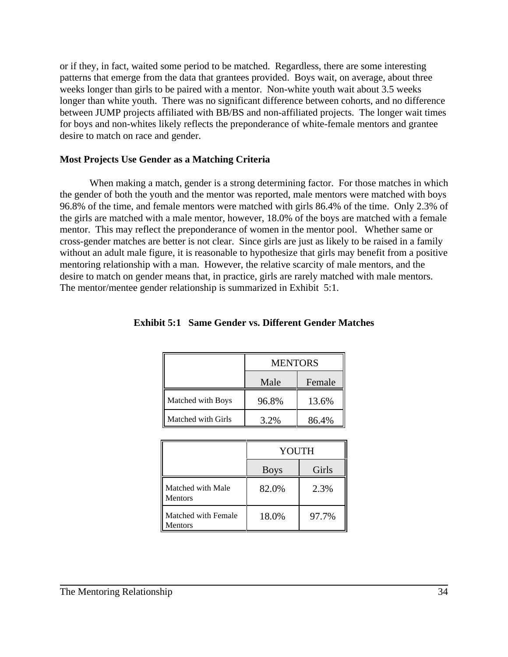or if they, in fact, waited some period to be matched. Regardless, there are some interesting patterns that emerge from the data that grantees provided. Boys wait, on average, about three weeks longer than girls to be paired with a mentor. Non-white youth wait about 3.5 weeks longer than white youth. There was no significant difference between cohorts, and no difference between JUMP projects affiliated with BB/BS and non-affiliated projects. The longer wait times for boys and non-whites likely reflects the preponderance of white-female mentors and grantee desire to match on race and gender.

## **Most Projects Use Gender as a Matching Criteria**

When making a match, gender is a strong determining factor. For those matches in which the gender of both the youth and the mentor was reported, male mentors were matched with boys 96.8% of the time, and female mentors were matched with girls 86.4% of the time. Only 2.3% of the girls are matched with a male mentor, however, 18.0% of the boys are matched with a female mentor. This may reflect the preponderance of women in the mentor pool. Whether same or cross-gender matches are better is not clear. Since girls are just as likely to be raised in a family without an adult male figure, it is reasonable to hypothesize that girls may benefit from a positive mentoring relationship with a man. However, the relative scarcity of male mentors, and the desire to match on gender means that, in practice, girls are rarely matched with male mentors. The mentor/mentee gender relationship is summarized in Exhibit 5:1.

|                    | <b>MENTORS</b> |        |  |  |
|--------------------|----------------|--------|--|--|
|                    | Male           | Female |  |  |
| Matched with Boys  | 96.8%          | 13.6%  |  |  |
| Matched with Girls | 3.2%           | 86.4%  |  |  |

## **Exhibit 5:1 Same Gender vs. Different Gender Matches**

|                                       | YOUTH       |       |  |
|---------------------------------------|-------------|-------|--|
|                                       | <b>Boys</b> | Girls |  |
| Matched with Male<br><b>Mentors</b>   | 82.0%       | 2.3%  |  |
| Matched with Female<br><b>Mentors</b> | 18.0%       | 97.7% |  |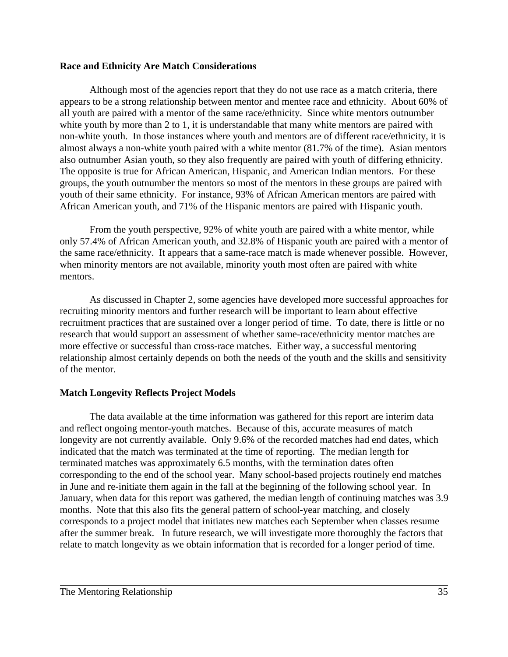## **Race and Ethnicity Are Match Considerations**

Although most of the agencies report that they do not use race as a match criteria, there appears to be a strong relationship between mentor and mentee race and ethnicity. About 60% of all youth are paired with a mentor of the same race/ethnicity. Since white mentors outnumber white youth by more than 2 to 1, it is understandable that many white mentors are paired with non-white youth. In those instances where youth and mentors are of different race/ethnicity, it is almost always a non-white youth paired with a white mentor (81.7% of the time). Asian mentors also outnumber Asian youth, so they also frequently are paired with youth of differing ethnicity. The opposite is true for African American, Hispanic, and American Indian mentors. For these groups, the youth outnumber the mentors so most of the mentors in these groups are paired with youth of their same ethnicity. For instance, 93% of African American mentors are paired with African American youth, and 71% of the Hispanic mentors are paired with Hispanic youth.

From the youth perspective, 92% of white youth are paired with a white mentor, while only 57.4% of African American youth, and 32.8% of Hispanic youth are paired with a mentor of the same race/ethnicity. It appears that a same-race match is made whenever possible. However, when minority mentors are not available, minority youth most often are paired with white mentors.

As discussed in Chapter 2, some agencies have developed more successful approaches for recruiting minority mentors and further research will be important to learn about effective recruitment practices that are sustained over a longer period of time. To date, there is little or no research that would support an assessment of whether same-race/ethnicity mentor matches are more effective or successful than cross-race matches. Either way, a successful mentoring relationship almost certainly depends on both the needs of the youth and the skills and sensitivity of the mentor.

## **Match Longevity Reflects Project Models**

The data available at the time information was gathered for this report are interim data and reflect ongoing mentor-youth matches. Because of this, accurate measures of match longevity are not currently available. Only 9.6% of the recorded matches had end dates, which indicated that the match was terminated at the time of reporting. The median length for terminated matches was approximately 6.5 months, with the termination dates often corresponding to the end of the school year. Many school-based projects routinely end matches in June and re-initiate them again in the fall at the beginning of the following school year. In January, when data for this report was gathered, the median length of continuing matches was 3.9 months. Note that this also fits the general pattern of school-year matching, and closely corresponds to a project model that initiates new matches each September when classes resume after the summer break. In future research, we will investigate more thoroughly the factors that relate to match longevity as we obtain information that is recorded for a longer period of time.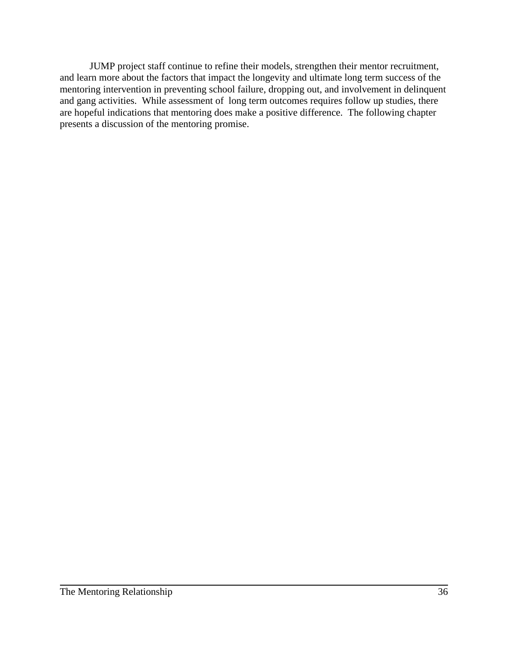JUMP project staff continue to refine their models, strengthen their mentor recruitment, and learn more about the factors that impact the longevity and ultimate long term success of the mentoring intervention in preventing school failure, dropping out, and involvement in delinquent and gang activities. While assessment of long term outcomes requires follow up studies, there are hopeful indications that mentoring does make a positive difference. The following chapter presents a discussion of the mentoring promise.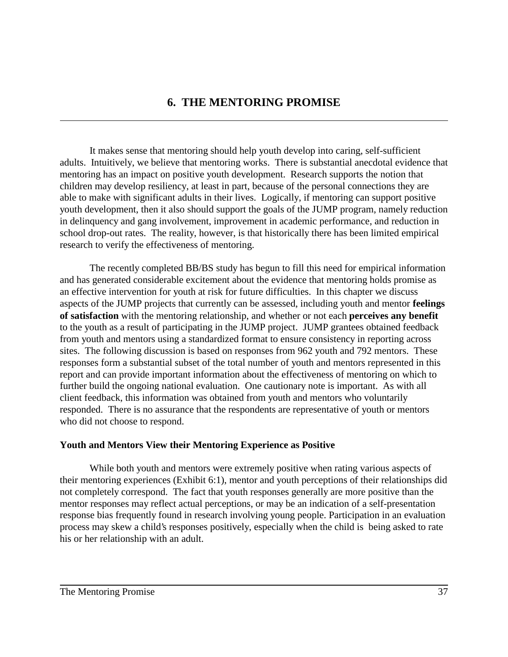## **6. THE MENTORING PROMISE**

It makes sense that mentoring should help youth develop into caring, self-sufficient adults. Intuitively, we believe that mentoring works. There is substantial anecdotal evidence that mentoring has an impact on positive youth development. Research supports the notion that children may develop resiliency, at least in part, because of the personal connections they are able to make with significant adults in their lives. Logically, if mentoring can support positive youth development, then it also should support the goals of the JUMP program, namely reduction in delinquency and gang involvement, improvement in academic performance, and reduction in school drop-out rates. The reality, however, is that historically there has been limited empirical research to verify the effectiveness of mentoring.

The recently completed BB/BS study has begun to fill this need for empirical information and has generated considerable excitement about the evidence that mentoring holds promise as an effective intervention for youth at risk for future difficulties. In this chapter we discuss aspects of the JUMP projects that currently can be assessed, including youth and mentor **feelings of satisfaction** with the mentoring relationship, and whether or not each **perceives any benefit** to the youth as a result of participating in the JUMP project. JUMP grantees obtained feedback from youth and mentors using a standardized format to ensure consistency in reporting across sites. The following discussion is based on responses from 962 youth and 792 mentors. These responses form a substantial subset of the total number of youth and mentors represented in this report and can provide important information about the effectiveness of mentoring on which to further build the ongoing national evaluation. One cautionary note is important. As with all client feedback, this information was obtained from youth and mentors who voluntarily responded. There is no assurance that the respondents are representative of youth or mentors who did not choose to respond.

## **Youth and Mentors View their Mentoring Experience as Positive**

While both youth and mentors were extremely positive when rating various aspects of their mentoring experiences (Exhibit 6:1), mentor and youth perceptions of their relationships did not completely correspond. The fact that youth responses generally are more positive than the mentor responses may reflect actual perceptions, or may be an indication of a self-presentation response bias frequently found in research involving young people. Participation in an evaluation process may skew a child's responses positively, especially when the child is being asked to rate his or her relationship with an adult.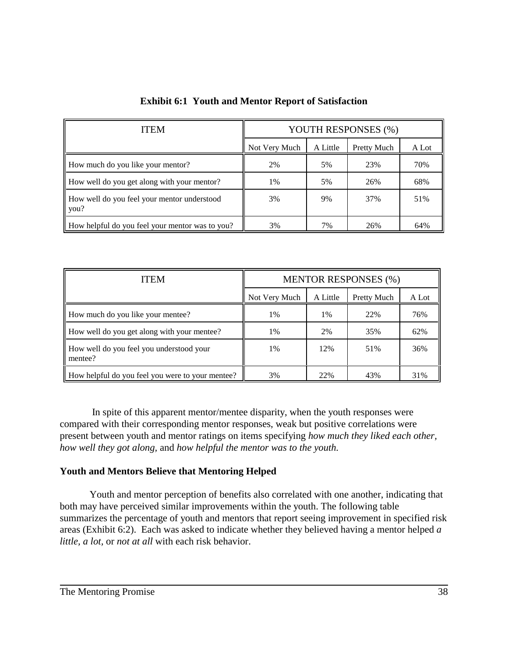| <b>ITEM</b>                                         | YOUTH RESPONSES (%) |          |             |       |
|-----------------------------------------------------|---------------------|----------|-------------|-------|
|                                                     | Not Very Much       | A Little | Pretty Much | A Lot |
| How much do you like your mentor?                   | 2%                  | 5%       | 23%         | 70%   |
| How well do you get along with your mentor?         | 1%                  | 5%       | 26%         | 68%   |
| How well do you feel your mentor understood<br>you? | 3%                  | 9%       | 37%         | 51%   |
| How helpful do you feel your mentor was to you?     | 3%                  | 7%       | 26%         | 64%   |

**Exhibit 6:1 Youth and Mentor Report of Satisfaction**

| <b>ITEM</b>                                         | <b>MENTOR RESPONSES (%)</b> |          |             |       |
|-----------------------------------------------------|-----------------------------|----------|-------------|-------|
|                                                     | Not Very Much               | A Little | Pretty Much | A Lot |
| How much do you like your mentee?                   | 1%                          | 1%       | 22%         | 76%   |
| How well do you get along with your mentee?         | 1%                          | 2%       | 35%         | 62%   |
| How well do you feel you understood your<br>mentee? | 1%                          | 12%      | 51%         | 36%   |
| How helpful do you feel you were to your mentee?    | 3%                          | 22%      | 43%         | 31%   |

 In spite of this apparent mentor/mentee disparity, when the youth responses were compared with their corresponding mentor responses, weak but positive correlations were present between youth and mentor ratings on items specifying *how much they liked each other, how well they got along,* and *how helpful the mentor was to the youth.*

## **Youth and Mentors Believe that Mentoring Helped**

Youth and mentor perception of benefits also correlated with one another, indicating that both may have perceived similar improvements within the youth. The following table summarizes the percentage of youth and mentors that report seeing improvement in specified risk areas (Exhibit 6:2). Each was asked to indicate whether they believed having a mentor helped *a little, a lot,* or *not at all* with each risk behavior.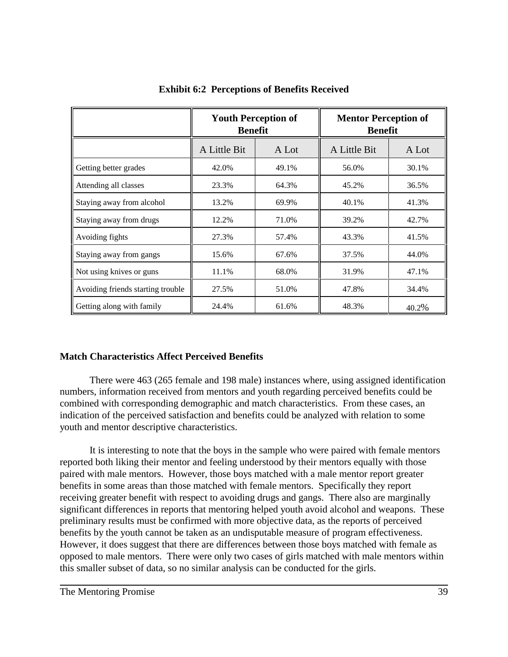|                                   | <b>Youth Perception of</b><br><b>Benefit</b> |       | <b>Mentor Perception of</b><br><b>Benefit</b> |       |
|-----------------------------------|----------------------------------------------|-------|-----------------------------------------------|-------|
|                                   | A Little Bit                                 | A Lot | A Little Bit                                  | A Lot |
| Getting better grades             | 42.0%                                        | 49.1% | 56.0%                                         | 30.1% |
| Attending all classes             | 23.3%                                        | 64.3% | 45.2%                                         | 36.5% |
| Staying away from alcohol         | 13.2%                                        | 69.9% | 40.1%                                         | 41.3% |
| Staying away from drugs           | 12.2%                                        | 71.0% | 39.2%                                         | 42.7% |
| Avoiding fights                   | 27.3%                                        | 57.4% | 43.3%                                         | 41.5% |
| Staying away from gangs           | 15.6%                                        | 67.6% | 37.5%                                         | 44.0% |
| Not using knives or guns          | 11.1%                                        | 68.0% | 31.9%                                         | 47.1% |
| Avoiding friends starting trouble | 27.5%                                        | 51.0% | 47.8%                                         | 34.4% |
| Getting along with family         | 24.4%                                        | 61.6% | 48.3%                                         | 40.2% |

**Exhibit 6:2 Perceptions of Benefits Received**

## **Match Characteristics Affect Perceived Benefits**

There were 463 (265 female and 198 male) instances where, using assigned identification numbers, information received from mentors and youth regarding perceived benefits could be combined with corresponding demographic and match characteristics. From these cases, an indication of the perceived satisfaction and benefits could be analyzed with relation to some youth and mentor descriptive characteristics.

It is interesting to note that the boys in the sample who were paired with female mentors reported both liking their mentor and feeling understood by their mentors equally with those paired with male mentors. However, those boys matched with a male mentor report greater benefits in some areas than those matched with female mentors. Specifically they report receiving greater benefit with respect to avoiding drugs and gangs. There also are marginally significant differences in reports that mentoring helped youth avoid alcohol and weapons. These preliminary results must be confirmed with more objective data, as the reports of perceived benefits by the youth cannot be taken as an undisputable measure of program effectiveness. However, it does suggest that there are differences between those boys matched with female as opposed to male mentors. There were only two cases of girls matched with male mentors within this smaller subset of data, so no similar analysis can be conducted for the girls.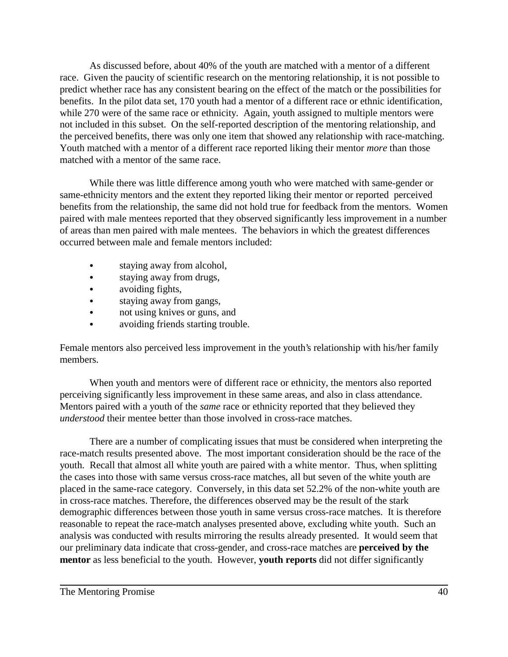As discussed before, about 40% of the youth are matched with a mentor of a different race. Given the paucity of scientific research on the mentoring relationship, it is not possible to predict whether race has any consistent bearing on the effect of the match or the possibilities for benefits. In the pilot data set, 170 youth had a mentor of a different race or ethnic identification, while 270 were of the same race or ethnicity. Again, youth assigned to multiple mentors were not included in this subset. On the self-reported description of the mentoring relationship, and the perceived benefits, there was only one item that showed any relationship with race-matching. Youth matched with a mentor of a different race reported liking their mentor *more* than those matched with a mentor of the same race.

While there was little difference among youth who were matched with same-gender or same-ethnicity mentors and the extent they reported liking their mentor or reported perceived benefits from the relationship, the same did not hold true for feedback from the mentors. Women paired with male mentees reported that they observed significantly less improvement in a number of areas than men paired with male mentees. The behaviors in which the greatest differences occurred between male and female mentors included:

- staying away from alcohol,
- staying away from drugs,
- avoiding fights,
- staying away from gangs,
- not using knives or guns, and
- avoiding friends starting trouble.

Female mentors also perceived less improvement in the youth's relationship with his/her family members.

When youth and mentors were of different race or ethnicity, the mentors also reported perceiving significantly less improvement in these same areas, and also in class attendance. Mentors paired with a youth of the *same* race or ethnicity reported that they believed they *understood* their mentee better than those involved in cross-race matches.

There are a number of complicating issues that must be considered when interpreting the race-match results presented above. The most important consideration should be the race of the youth. Recall that almost all white youth are paired with a white mentor. Thus, when splitting the cases into those with same versus cross-race matches, all but seven of the white youth are placed in the same-race category. Conversely, in this data set 52.2% of the non-white youth are in cross-race matches. Therefore, the differences observed may be the result of the stark demographic differences between those youth in same versus cross-race matches. It is therefore reasonable to repeat the race-match analyses presented above, excluding white youth. Such an analysis was conducted with results mirroring the results already presented. It would seem that our preliminary data indicate that cross-gender, and cross-race matches are **perceived by the mentor** as less beneficial to the youth. However, **youth reports** did not differ significantly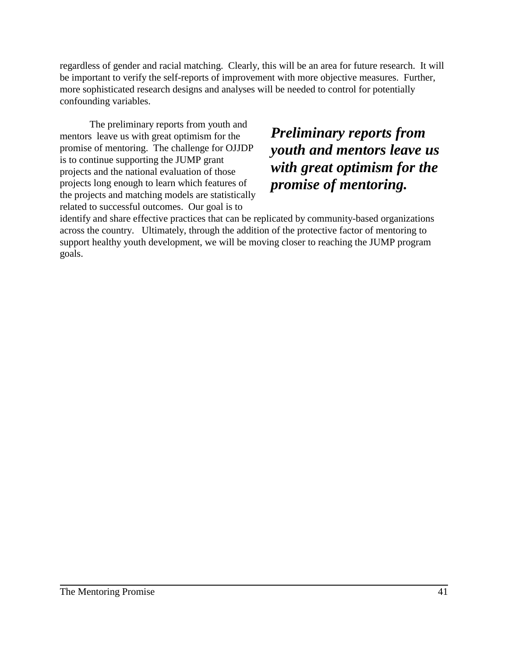regardless of gender and racial matching. Clearly, this will be an area for future research. It will be important to verify the self-reports of improvement with more objective measures. Further, more sophisticated research designs and analyses will be needed to control for potentially confounding variables.

The preliminary reports from youth and mentors leave us with great optimism for the promise of mentoring. The challenge for OJJDP is to continue supporting the JUMP grant projects and the national evaluation of those projects long enough to learn which features of the projects and matching models are statistically related to successful outcomes. Our goal is to

*Preliminary reports from youth and mentors leave us with great optimism for the promise of mentoring.*

identify and share effective practices that can be replicated by community-based organizations across the country. Ultimately, through the addition of the protective factor of mentoring to support healthy youth development, we will be moving closer to reaching the JUMP program goals.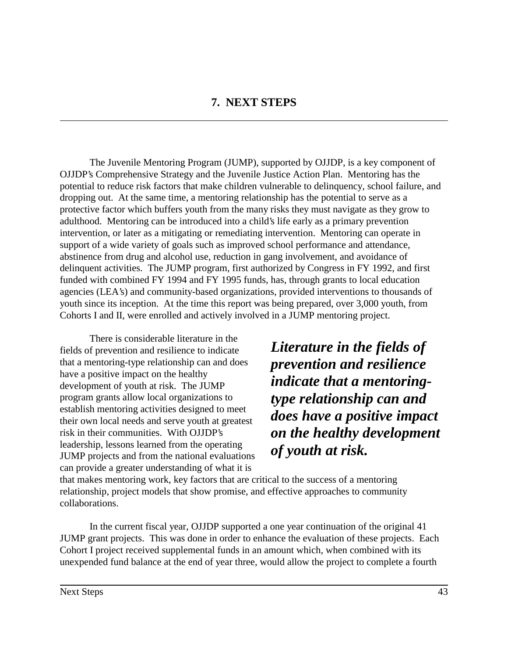The Juvenile Mentoring Program (JUMP), supported by OJJDP, is a key component of OJJDP's Comprehensive Strategy and the Juvenile Justice Action Plan. Mentoring has the potential to reduce risk factors that make children vulnerable to delinquency, school failure, and dropping out. At the same time, a mentoring relationship has the potential to serve as a protective factor which buffers youth from the many risks they must navigate as they grow to adulthood. Mentoring can be introduced into a child's life early as a primary prevention intervention, or later as a mitigating or remediating intervention. Mentoring can operate in support of a wide variety of goals such as improved school performance and attendance, abstinence from drug and alcohol use, reduction in gang involvement, and avoidance of delinquent activities. The JUMP program, first authorized by Congress in FY 1992, and first funded with combined FY 1994 and FY 1995 funds, has, through grants to local education agencies (LEA's) and community-based organizations, provided interventions to thousands of youth since its inception. At the time this report was being prepared, over 3,000 youth, from Cohorts I and II, were enrolled and actively involved in a JUMP mentoring project.

There is considerable literature in the fields of prevention and resilience to indicate that a mentoring-type relationship can and does have a positive impact on the healthy development of youth at risk. The JUMP program grants allow local organizations to establish mentoring activities designed to meet their own local needs and serve youth at greatest risk in their communities. With OJJDP's leadership, lessons learned from the operating JUMP projects and from the national evaluations can provide a greater understanding of what it is

*Literature in the fields of prevention and resilience indicate that a mentoringtype relationship can and does have a positive impact on the healthy development of youth at risk.*

that makes mentoring work, key factors that are critical to the success of a mentoring relationship, project models that show promise, and effective approaches to community collaborations.

In the current fiscal year, OJJDP supported a one year continuation of the original 41 JUMP grant projects. This was done in order to enhance the evaluation of these projects. Each Cohort I project received supplemental funds in an amount which, when combined with its unexpended fund balance at the end of year three, would allow the project to complete a fourth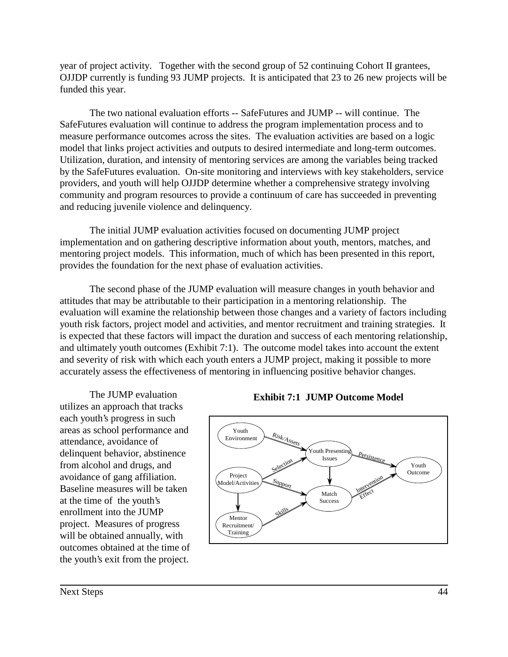year of project activity. Together with the second group of 52 continuing Cohort II grantees, OJJDP currently is funding 93 JUMP projects. It is anticipated that 23 to 26 new projects will be funded this year.

The two national evaluation efforts -- SafeFutures and JUMP -- will continue. The SafeFutures evaluation will continue to address the program implementation process and to measure performance outcomes across the sites. The evaluation activities are based on a logic model that links project activities and outputs to desired intermediate and long-term outcomes. Utilization, duration, and intensity of mentoring services are among the variables being tracked by the SafeFutures evaluation. On-site monitoring and interviews with key stakeholders, service providers, and youth will help OJJDP determine whether a comprehensive strategy involving community and program resources to provide a continuum of care has succeeded in preventing and reducing juvenile violence and delinquency.

The initial JUMP evaluation activities focused on documenting JUMP project implementation and on gathering descriptive information about youth, mentors, matches, and mentoring project models. This information, much of which has been presented in this report, provides the foundation for the next phase of evaluation activities.

The second phase of the JUMP evaluation will measure changes in youth behavior and attitudes that may be attributable to their participation in a mentoring relationship. The evaluation will examine the relationship between those changes and a variety of factors including youth risk factors, project model and activities, and mentor recruitment and training strategies. It is expected that these factors will impact the duration and success of each mentoring relationship, and ultimately youth outcomes (Exhibit 7:1). The outcome model takes into account the extent and severity of risk with which each youth enters a JUMP project, making it possible to more accurately assess the effectiveness of mentoring in influencing positive behavior changes.

The JUMP evaluation utilizes an approach that tracks each youth's progress in such areas as school performance and attendance, avoidance of delinquent behavior, abstinence from alcohol and drugs, and avoidance of gang affiliation. Baseline measures will be taken at the time of the youth's enrollment into the JUMP project. Measures of progress will be obtained annually, with outcomes obtained at the time of the youth's exit from the project.



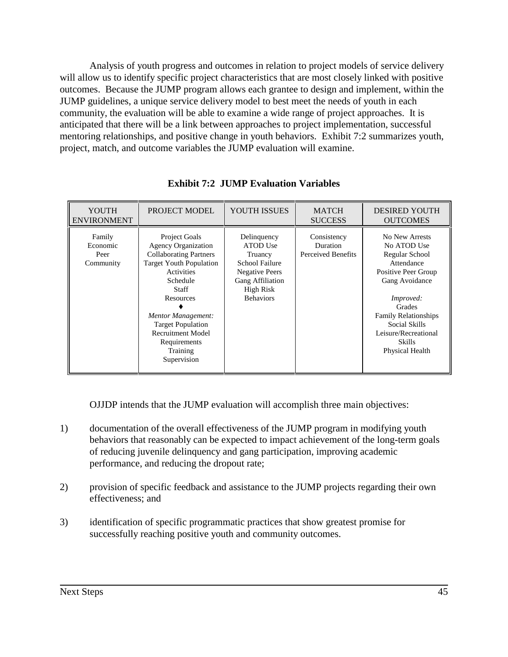Analysis of youth progress and outcomes in relation to project models of service delivery will allow us to identify specific project characteristics that are most closely linked with positive outcomes. Because the JUMP program allows each grantee to design and implement, within the JUMP guidelines, a unique service delivery model to best meet the needs of youth in each community, the evaluation will be able to examine a wide range of project approaches. It is anticipated that there will be a link between approaches to project implementation, successful mentoring relationships, and positive change in youth behaviors. Exhibit 7:2 summarizes youth, project, match, and outcome variables the JUMP evaluation will examine.

| YOUTH<br><b>ENVIRONMENT</b>             | <b>PROJECT MODEL</b>                                                                                                                                                                                                                                                                           | YOUTH ISSUES                                                                                                                                            | <b>MATCH</b><br><b>SUCCESS</b>                       | <b>DESIRED YOUTH</b><br><b>OUTCOMES</b>                                                                                                                                                                                                   |
|-----------------------------------------|------------------------------------------------------------------------------------------------------------------------------------------------------------------------------------------------------------------------------------------------------------------------------------------------|---------------------------------------------------------------------------------------------------------------------------------------------------------|------------------------------------------------------|-------------------------------------------------------------------------------------------------------------------------------------------------------------------------------------------------------------------------------------------|
| Family<br>Economic<br>Peer<br>Community | <b>Project Goals</b><br><b>Agency Organization</b><br><b>Collaborating Partners</b><br><b>Target Youth Population</b><br>Activities<br>Schedule<br>Staff<br>Resources<br>Mentor Management:<br><b>Target Population</b><br><b>Recruitment Model</b><br>Requirements<br>Training<br>Supervision | Delinquency<br><b>ATOD</b> Use<br>Truancy<br><b>School Failure</b><br><b>Negative Peers</b><br>Gang Affiliation<br><b>High Risk</b><br><b>Behaviors</b> | Consistency<br><b>Duration</b><br>Perceived Benefits | No New Arrests<br>No ATOD Use<br>Regular School<br>Attendance<br>Positive Peer Group<br>Gang Avoidance<br>Improved:<br>Grades<br><b>Family Relationships</b><br>Social Skills<br>Leisure/Recreational<br><b>Skills</b><br>Physical Health |

**Exhibit 7:2 JUMP Evaluation Variables**

OJJDP intends that the JUMP evaluation will accomplish three main objectives:

- 1) documentation of the overall effectiveness of the JUMP program in modifying youth behaviors that reasonably can be expected to impact achievement of the long-term goals of reducing juvenile delinquency and gang participation, improving academic performance, and reducing the dropout rate;
- 2) provision of specific feedback and assistance to the JUMP projects regarding their own effectiveness; and
- 3) identification of specific programmatic practices that show greatest promise for successfully reaching positive youth and community outcomes.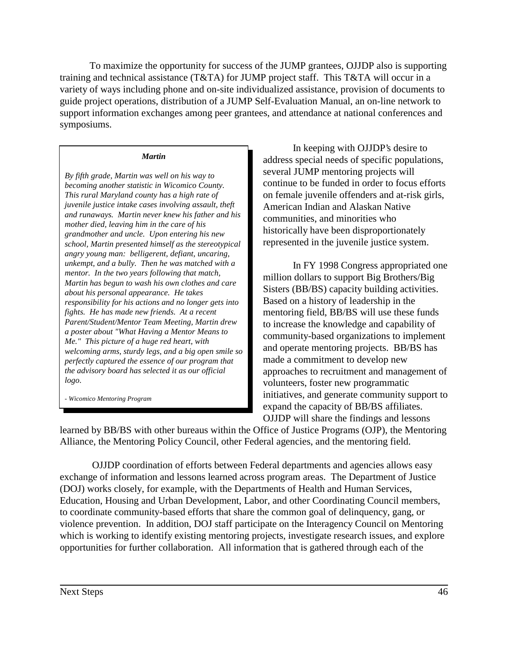To maximize the opportunity for success of the JUMP grantees, OJJDP also is supporting training and technical assistance (T&TA) for JUMP project staff. This T&TA will occur in a variety of ways including phone and on-site individualized assistance, provision of documents to guide project operations, distribution of a JUMP Self-Evaluation Manual, an on-line network to support information exchanges among peer grantees, and attendance at national conferences and symposiums.

#### *Martin*

*By fifth grade, Martin was well on his way to becoming another statistic in Wicomico County. This rural Maryland county has a high rate of juvenile justice intake cases involving assault, theft and runaways. Martin never knew his father and his mother died, leaving him in the care of his grandmother and uncle. Upon entering his new school, Martin presented himself as the stereotypical angry young man: belligerent, defiant, uncaring, unkempt, and a bully. Then he was matched with a mentor. In the two years following that match, Martin has begun to wash his own clothes and care about his personal appearance. He takes responsibility for his actions and no longer gets into fights. He has made new friends. At a recent Parent/Student/Mentor Team Meeting, Martin drew a poster about "What Having a Mentor Means to Me." This picture of a huge red heart, with welcoming arms, sturdy legs, and a big open smile so perfectly captured the essence of our program that the advisory board has selected it as our official logo.*

*- Wicomico Mentoring Program*

In keeping with OJJDP's desire to address special needs of specific populations, several JUMP mentoring projects will continue to be funded in order to focus efforts on female juvenile offenders and at-risk girls, American Indian and Alaskan Native communities, and minorities who historically have been disproportionately represented in the juvenile justice system.

In FY 1998 Congress appropriated one million dollars to support Big Brothers/Big Sisters (BB/BS) capacity building activities. Based on a history of leadership in the mentoring field, BB/BS will use these funds to increase the knowledge and capability of community-based organizations to implement and operate mentoring projects. BB/BS has made a commitment to develop new approaches to recruitment and management of volunteers, foster new programmatic initiatives, and generate community support to expand the capacity of BB/BS affiliates. OJJDP will share the findings and lessons

learned by BB/BS with other bureaus within the Office of Justice Programs (OJP), the Mentoring Alliance, the Mentoring Policy Council, other Federal agencies, and the mentoring field.

 OJJDP coordination of efforts between Federal departments and agencies allows easy exchange of information and lessons learned across program areas. The Department of Justice (DOJ) works closely, for example, with the Departments of Health and Human Services, Education, Housing and Urban Development, Labor, and other Coordinating Council members, to coordinate community-based efforts that share the common goal of delinquency, gang, or violence prevention. In addition, DOJ staff participate on the Interagency Council on Mentoring which is working to identify existing mentoring projects, investigate research issues, and explore opportunities for further collaboration. All information that is gathered through each of the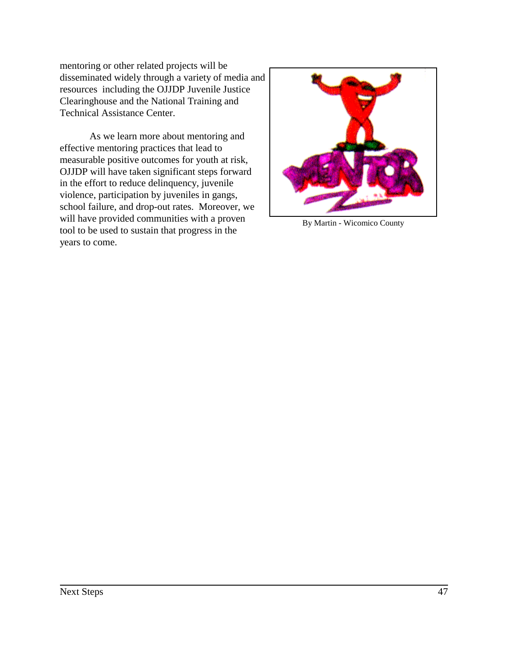mentoring or other related projects will be disseminated widely through a variety of media and resources including the OJJDP Juvenile Justice Clearinghouse and the National Training and Technical Assistance Center.

As we learn more about mentoring and effective mentoring practices that lead to measurable positive outcomes for youth at risk, OJJDP will have taken significant steps forward in the effort to reduce delinquency, juvenile violence, participation by juveniles in gangs, school failure, and drop-out rates. Moreover, we will have provided communities with a proven tool to be used to sustain that progress in the years to come.



By Martin - Wicomico County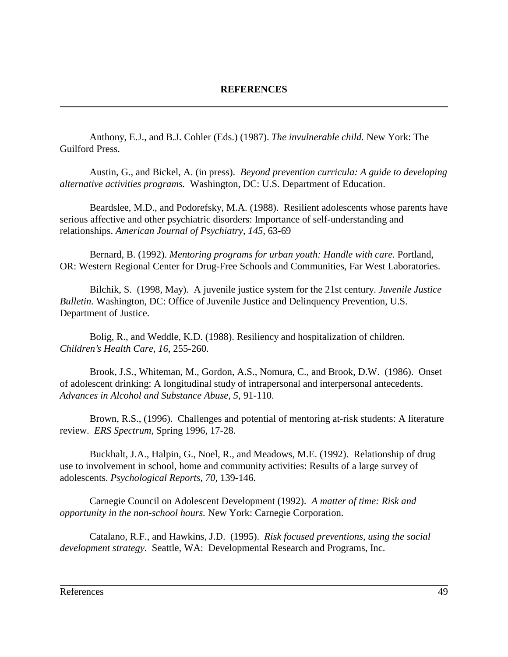Anthony, E.J., and B.J. Cohler (Eds.) (1987). *The invulnerable child.* New York: The Guilford Press.

Austin, G., and Bickel, A. (in press). *Beyond prevention curricula: A guide to developing alternative activities programs.* Washington, DC: U.S. Department of Education.

Beardslee, M.D., and Podorefsky, M.A. (1988). Resilient adolescents whose parents have serious affective and other psychiatric disorders: Importance of self-understanding and relationships. *American Journal of Psychiatry, 145,* 63-69

Bernard, B. (1992). *Mentoring programs for urban youth: Handle with care.* Portland, OR: Western Regional Center for Drug-Free Schools and Communities, Far West Laboratories.

Bilchik, S. (1998, May). A juvenile justice system for the 21st century. *Juvenile Justice Bulletin.* Washington, DC: Office of Juvenile Justice and Delinquency Prevention, U.S. Department of Justice.

Bolig, R., and Weddle, K.D. (1988). Resiliency and hospitalization of children. *Children's Health Care, 16,* 255-260.

Brook, J.S., Whiteman, M., Gordon, A.S., Nomura, C., and Brook, D.W. (1986). Onset of adolescent drinking: A longitudinal study of intrapersonal and interpersonal antecedents. *Advances in Alcohol and Substance Abuse, 5,* 91-110.

Brown, R.S., (1996). Challenges and potential of mentoring at-risk students: A literature review. *ERS Spectrum,* Spring 1996, 17-28.

Buckhalt, J.A., Halpin, G., Noel, R., and Meadows, M.E. (1992). Relationship of drug use to involvement in school, home and community activities: Results of a large survey of adolescents. *Psychological Reports, 70,* 139-146.

Carnegie Council on Adolescent Development (1992). *A matter of time: Risk and opportunity in the non-school hours.* New York: Carnegie Corporation.

Catalano, R.F., and Hawkins, J.D. (1995). *Risk focused preventions, using the social development strategy.* Seattle, WA: Developmental Research and Programs, Inc.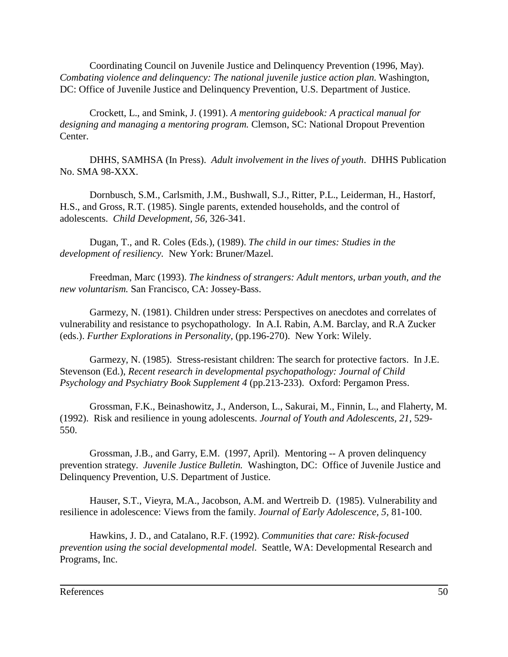Coordinating Council on Juvenile Justice and Delinquency Prevention (1996, May). *Combating violence and delinquency: The national juvenile justice action plan.* Washington, DC: Office of Juvenile Justice and Delinquency Prevention, U.S. Department of Justice.

Crockett, L., and Smink, J. (1991). *A mentoring guidebook: A practical manual for designing and managing a mentoring program.* Clemson, SC: National Dropout Prevention Center.

DHHS, SAMHSA (In Press). *Adult involvement in the lives of youth*. DHHS Publication No. SMA 98-XXX.

Dornbusch, S.M., Carlsmith, J.M., Bushwall, S.J., Ritter, P.L., Leiderman, H., Hastorf, H.S., and Gross, R.T. (1985). Single parents, extended households, and the control of adolescents. *Child Development, 56,* 326-341.

Dugan, T., and R. Coles (Eds.), (1989). *The child in our times: Studies in the development of resiliency.* New York: Bruner/Mazel.

Freedman, Marc (1993). *The kindness of strangers: Adult mentors, urban youth, and the new voluntarism.* San Francisco, CA: Jossey-Bass.

Garmezy, N. (1981). Children under stress: Perspectives on anecdotes and correlates of vulnerability and resistance to psychopathology. In A.I. Rabin, A.M. Barclay, and R.A Zucker (eds.). *Further Explorations in Personality,* (pp.196-270). New York: Wilely.

Garmezy, N. (1985). Stress-resistant children: The search for protective factors. In J.E. Stevenson (Ed.), *Recent research in developmental psychopathology: Journal of Child Psychology and Psychiatry Book Supplement 4* (pp.213-233). Oxford: Pergamon Press.

Grossman, F.K., Beinashowitz, J., Anderson, L., Sakurai, M., Finnin, L., and Flaherty, M. (1992). Risk and resilience in young adolescents. *Journal of Youth and Adolescents, 21,* 529- 550.

Grossman, J.B., and Garry, E.M. (1997, April). Mentoring -- A proven delinquency prevention strategy. *Juvenile Justice Bulletin.* Washington, DC: Office of Juvenile Justice and Delinquency Prevention, U.S. Department of Justice.

Hauser, S.T., Vieyra, M.A., Jacobson, A.M. and Wertreib D. (1985). Vulnerability and resilience in adolescence: Views from the family. *Journal of Early Adolescence, 5,* 81-100.

Hawkins, J. D., and Catalano, R.F. (1992). *Communities that care: Risk-focused prevention using the social developmental model.* Seattle, WA: Developmental Research and Programs, Inc.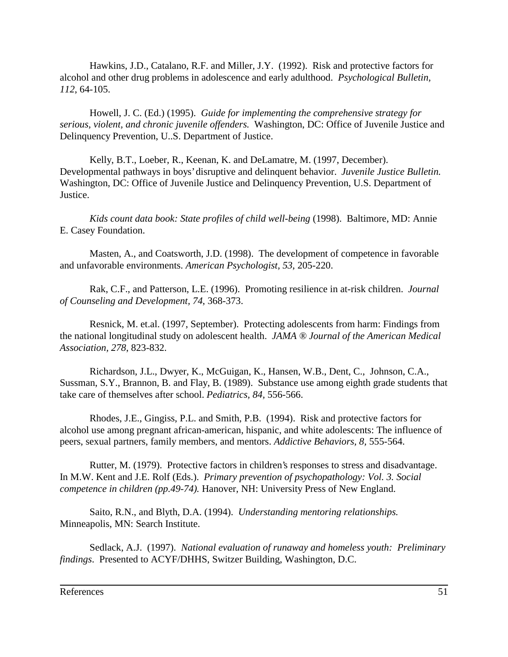Hawkins, J.D., Catalano, R.F. and Miller, J.Y. (1992). Risk and protective factors for alcohol and other drug problems in adolescence and early adulthood. *Psychological Bulletin, 112*, 64-105.

Howell, J. C. (Ed.) (1995). *Guide for implementing the comprehensive strategy for serious, violent, and chronic juvenile offenders.* Washington, DC: Office of Juvenile Justice and Delinquency Prevention, U..S. Department of Justice.

Kelly, B.T., Loeber, R., Keenan, K. and DeLamatre, M. (1997, December). Developmental pathways in boys' disruptive and delinquent behavior. *Juvenile Justice Bulletin.* Washington, DC: Office of Juvenile Justice and Delinquency Prevention, U.S. Department of Justice.

*Kids count data book: State profiles of child well-being* (1998). Baltimore, MD: Annie E. Casey Foundation.

Masten, A., and Coatsworth, J.D. (1998). The development of competence in favorable and unfavorable environments. *American Psychologist, 53*, 205-220.

Rak, C.F., and Patterson, L.E. (1996). Promoting resilience in at-risk children. *Journal of Counseling and Development, 74*, 368-373.

Resnick, M. et.al. (1997, September). Protecting adolescents from harm: Findings from the national longitudinal study on adolescent health. *JAMA ® Journal of the American Medical Association, 278*, 823-832.

Richardson, J.L., Dwyer, K., McGuigan, K., Hansen, W.B., Dent, C., Johnson, C.A., Sussman, S.Y., Brannon, B. and Flay, B. (1989). Substance use among eighth grade students that take care of themselves after school. *Pediatrics, 84,* 556-566.

Rhodes, J.E., Gingiss, P.L. and Smith, P.B. (1994). Risk and protective factors for alcohol use among pregnant african-american, hispanic, and white adolescents: The influence of peers, sexual partners, family members, and mentors. *Addictive Behaviors, 8,* 555-564.

Rutter, M. (1979). Protective factors in children's responses to stress and disadvantage. In M.W. Kent and J.E. Rolf (Eds.). *Primary prevention of psychopathology: Vol. 3. Social competence in children (pp.49-74).* Hanover, NH: University Press of New England.

Saito, R.N., and Blyth, D.A. (1994). *Understanding mentoring relationships.* Minneapolis, MN: Search Institute.

Sedlack, A.J. (1997). *National evaluation of runaway and homeless youth: Preliminary findings*. Presented to ACYF/DHHS, Switzer Building, Washington, D.C.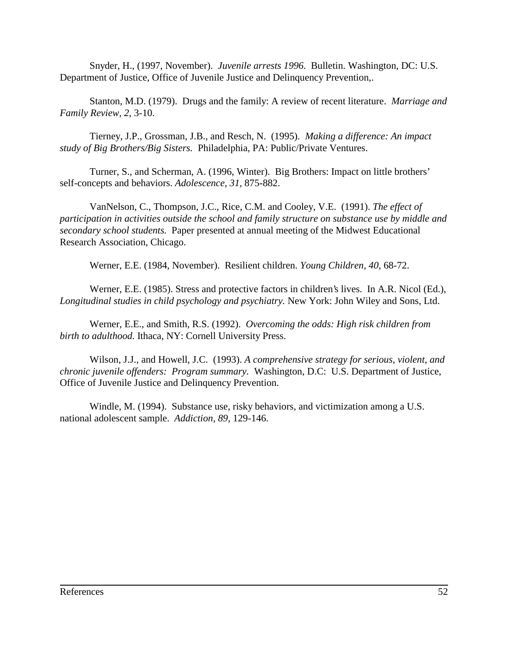Snyder, H., (1997, November). *Juvenile arrests 1996*. Bulletin. Washington, DC: U.S. Department of Justice, Office of Juvenile Justice and Delinquency Prevention,.

Stanton, M.D. (1979). Drugs and the family: A review of recent literature. *Marriage and Family Review, 2*, 3-10.

Tierney, J.P., Grossman, J.B., and Resch, N. (1995). *Making a difference: An impact study of Big Brothers/Big Sisters.* Philadelphia, PA: Public/Private Ventures.

Turner, S., and Scherman, A. (1996, Winter). Big Brothers: Impact on little brothers' self-concepts and behaviors. *Adolescence, 31,* 875-882.

VanNelson, C., Thompson, J.C., Rice, C.M. and Cooley, V.E. (1991). *The effect of participation in activities outside the school and family structure on substance use by middle and secondary school students.* Paper presented at annual meeting of the Midwest Educational Research Association, Chicago.

Werner, E.E. (1984, November). Resilient children. *Young Children, 40*, 68-72.

Werner, E.E. (1985). Stress and protective factors in children's lives. In A.R. Nicol (Ed.), *Longitudinal studies in child psychology and psychiatry.* New York: John Wiley and Sons, Ltd.

Werner, E.E., and Smith, R.S. (1992). *Overcoming the odds: High risk children from birth to adulthood.* Ithaca, NY: Cornell University Press.

Wilson, J.J., and Howell, J.C. (1993). *A comprehensive strategy for serious, violent, and chronic juvenile offenders: Program summary.* Washington, D.C: U.S. Department of Justice, Office of Juvenile Justice and Delinquency Prevention.

Windle, M. (1994). Substance use, risky behaviors, and victimization among a U.S. national adolescent sample. *Addiction, 89*, 129-146.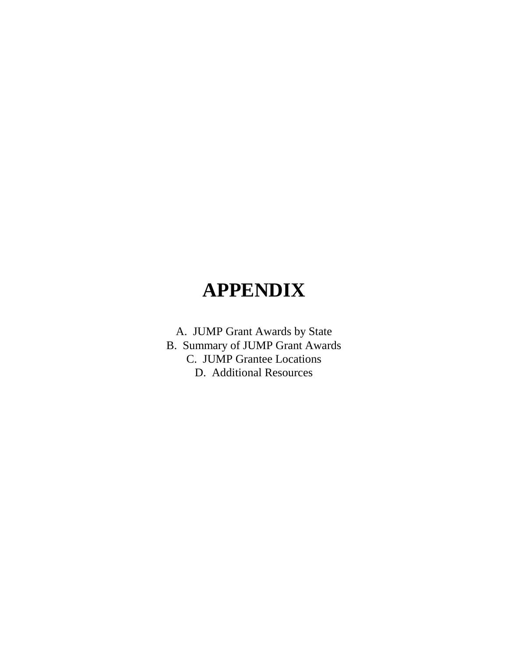# **APPENDIX**

A. JUMP Grant Awards by State B. Summary of JUMP Grant Awards C. JUMP Grantee Locations D. Additional Resources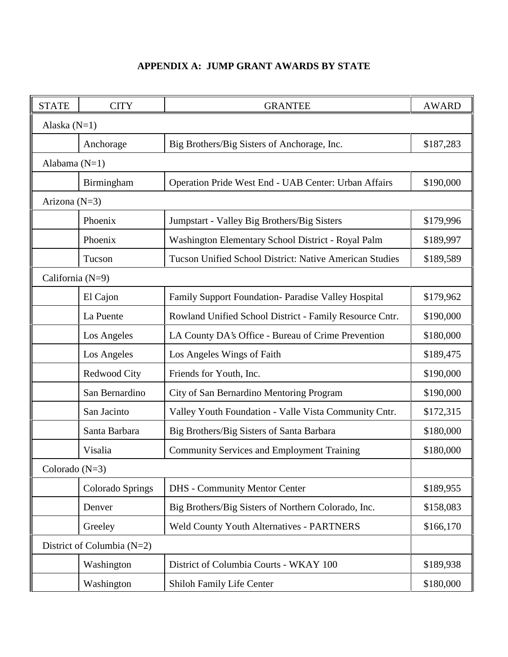## **APPENDIX A: JUMP GRANT AWARDS BY STATE**

| <b>STATE</b>     | <b>CITY</b>                | <b>GRANTEE</b>                                                 | <b>AWARD</b> |  |  |  |
|------------------|----------------------------|----------------------------------------------------------------|--------------|--|--|--|
|                  | Alaska $(N=1)$             |                                                                |              |  |  |  |
|                  | Anchorage                  | Big Brothers/Big Sisters of Anchorage, Inc.                    | \$187,283    |  |  |  |
|                  | Alabama $(N=1)$            |                                                                |              |  |  |  |
|                  | Birmingham                 | Operation Pride West End - UAB Center: Urban Affairs           | \$190,000    |  |  |  |
| Arizona (N=3)    |                            |                                                                |              |  |  |  |
|                  | Phoenix                    | Jumpstart - Valley Big Brothers/Big Sisters                    | \$179,996    |  |  |  |
|                  | Phoenix                    | Washington Elementary School District - Royal Palm             | \$189,997    |  |  |  |
|                  | Tucson                     | <b>Tucson Unified School District: Native American Studies</b> | \$189,589    |  |  |  |
| California (N=9) |                            |                                                                |              |  |  |  |
|                  | El Cajon                   | Family Support Foundation- Paradise Valley Hospital            | \$179,962    |  |  |  |
|                  | La Puente                  | Rowland Unified School District - Family Resource Cntr.        | \$190,000    |  |  |  |
|                  | Los Angeles                | LA County DA's Office - Bureau of Crime Prevention             | \$180,000    |  |  |  |
|                  | Los Angeles                | Los Angeles Wings of Faith                                     | \$189,475    |  |  |  |
|                  | Redwood City               | Friends for Youth, Inc.                                        | \$190,000    |  |  |  |
|                  | San Bernardino             | City of San Bernardino Mentoring Program                       | \$190,000    |  |  |  |
|                  | San Jacinto                | Valley Youth Foundation - Valle Vista Community Cntr.          | \$172,315    |  |  |  |
|                  | Santa Barbara              | Big Brothers/Big Sisters of Santa Barbara                      | \$180,000    |  |  |  |
|                  | Visalia                    | <b>Community Services and Employment Training</b>              | \$180,000    |  |  |  |
| Colorado $(N=3)$ |                            |                                                                |              |  |  |  |
|                  | Colorado Springs           | <b>DHS</b> - Community Mentor Center                           | \$189,955    |  |  |  |
|                  | Denver                     | Big Brothers/Big Sisters of Northern Colorado, Inc.            | \$158,083    |  |  |  |
|                  | Greeley                    | <b>Weld County Youth Alternatives - PARTNERS</b>               | \$166,170    |  |  |  |
|                  | District of Columbia (N=2) |                                                                |              |  |  |  |
|                  | Washington                 | District of Columbia Courts - WKAY 100                         | \$189,938    |  |  |  |
|                  | Washington                 | Shiloh Family Life Center                                      | \$180,000    |  |  |  |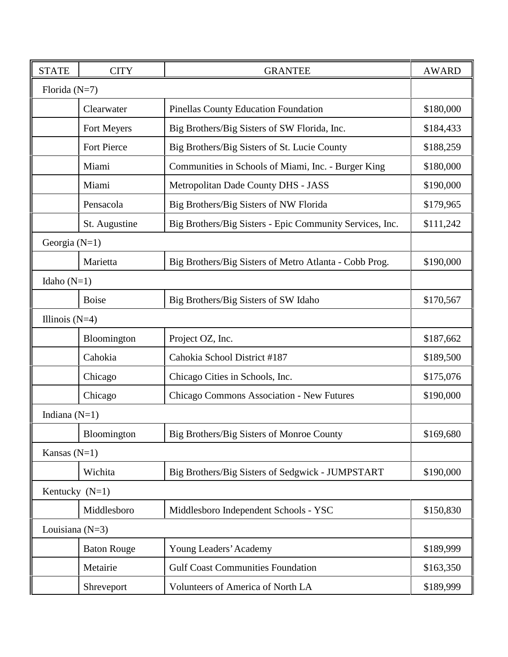| <b>STATE</b>      | <b>CITY</b>        | <b>GRANTEE</b>                                           | <b>AWARD</b> |
|-------------------|--------------------|----------------------------------------------------------|--------------|
| Florida $(N=7)$   |                    |                                                          |              |
|                   | Clearwater         | <b>Pinellas County Education Foundation</b>              | \$180,000    |
|                   | Fort Meyers        | Big Brothers/Big Sisters of SW Florida, Inc.             | \$184,433    |
|                   | Fort Pierce        | Big Brothers/Big Sisters of St. Lucie County             | \$188,259    |
|                   | Miami              | Communities in Schools of Miami, Inc. - Burger King      | \$180,000    |
|                   | Miami              | Metropolitan Dade County DHS - JASS                      | \$190,000    |
|                   | Pensacola          | Big Brothers/Big Sisters of NW Florida                   | \$179,965    |
|                   | St. Augustine      | Big Brothers/Big Sisters - Epic Community Services, Inc. | \$111,242    |
| Georgia $(N=1)$   |                    |                                                          |              |
|                   | Marietta           | Big Brothers/Big Sisters of Metro Atlanta - Cobb Prog.   | \$190,000    |
| Idaho $(N=1)$     |                    |                                                          |              |
|                   | <b>Boise</b>       | Big Brothers/Big Sisters of SW Idaho                     | \$170,567    |
| Illinois $(N=4)$  |                    |                                                          |              |
|                   | Bloomington        | Project OZ, Inc.                                         | \$187,662    |
|                   | Cahokia            | Cahokia School District #187                             | \$189,500    |
|                   | Chicago            | Chicago Cities in Schools, Inc.                          | \$175,076    |
|                   | Chicago            | Chicago Commons Association - New Futures                | \$190,000    |
| Indiana $(N=1)$   |                    |                                                          |              |
|                   | Bloomington        | Big Brothers/Big Sisters of Monroe County                | \$169,680    |
| Kansas $(N=1)$    |                    |                                                          |              |
|                   | Wichita            | Big Brothers/Big Sisters of Sedgwick - JUMPSTART         | \$190,000    |
| Kentucky (N=1)    |                    |                                                          |              |
|                   | Middlesboro        | Middlesboro Independent Schools - YSC                    | \$150,830    |
| Louisiana $(N=3)$ |                    |                                                          |              |
|                   | <b>Baton Rouge</b> | Young Leaders' Academy                                   | \$189,999    |
|                   | Metairie           | <b>Gulf Coast Communities Foundation</b>                 | \$163,350    |
|                   | Shreveport         | Volunteers of America of North LA                        | \$189,999    |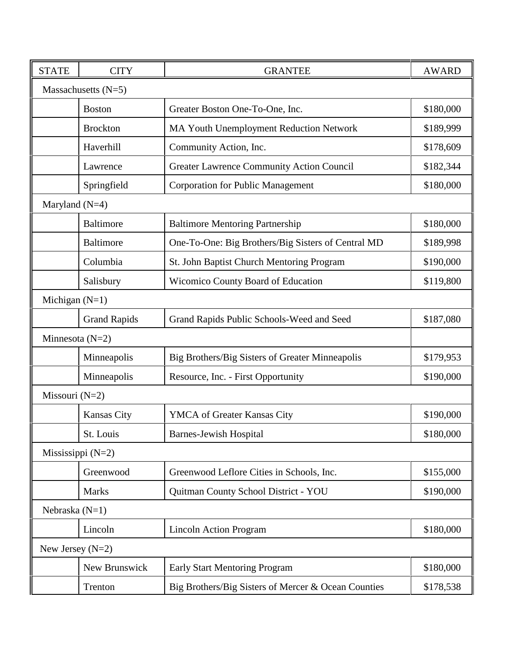| <b>STATE</b>       | <b>CITY</b>           | <b>GRANTEE</b>                                      | <b>AWARD</b> |
|--------------------|-----------------------|-----------------------------------------------------|--------------|
|                    | Massachusetts $(N=5)$ |                                                     |              |
|                    | <b>Boston</b>         | Greater Boston One-To-One, Inc.                     | \$180,000    |
|                    | <b>Brockton</b>       | <b>MA Youth Unemployment Reduction Network</b>      | \$189,999    |
|                    | Haverhill             | Community Action, Inc.                              | \$178,609    |
|                    | Lawrence              | <b>Greater Lawrence Community Action Council</b>    | \$182,344    |
|                    | Springfield           | <b>Corporation for Public Management</b>            | \$180,000    |
| Maryland $(N=4)$   |                       |                                                     |              |
|                    | <b>Baltimore</b>      | <b>Baltimore Mentoring Partnership</b>              | \$180,000    |
|                    | <b>Baltimore</b>      | One-To-One: Big Brothers/Big Sisters of Central MD  | \$189,998    |
|                    | Columbia              | St. John Baptist Church Mentoring Program           | \$190,000    |
|                    | Salisbury             | <b>Wicomico County Board of Education</b>           | \$119,800    |
| Michigan $(N=1)$   |                       |                                                     |              |
|                    | <b>Grand Rapids</b>   | Grand Rapids Public Schools-Weed and Seed           | \$187,080    |
| Minnesota $(N=2)$  |                       |                                                     |              |
|                    | Minneapolis           | Big Brothers/Big Sisters of Greater Minneapolis     | \$179,953    |
|                    | Minneapolis           | Resource, Inc. - First Opportunity                  | \$190,000    |
| Missouri (N=2)     |                       |                                                     |              |
|                    | Kansas City           | YMCA of Greater Kansas City                         | \$190,000    |
|                    | St. Louis             | <b>Barnes-Jewish Hospital</b>                       | \$180,000    |
|                    | Mississippi $(N=2)$   |                                                     |              |
|                    | Greenwood             | Greenwood Leflore Cities in Schools, Inc.           | \$155,000    |
|                    | <b>Marks</b>          | Quitman County School District - YOU                | \$190,000    |
| Nebraska $(N=1)$   |                       |                                                     |              |
|                    | Lincoln               | <b>Lincoln Action Program</b>                       | \$180,000    |
| New Jersey $(N=2)$ |                       |                                                     |              |
|                    | New Brunswick         | <b>Early Start Mentoring Program</b>                | \$180,000    |
|                    | Trenton               | Big Brothers/Big Sisters of Mercer & Ocean Counties | \$178,538    |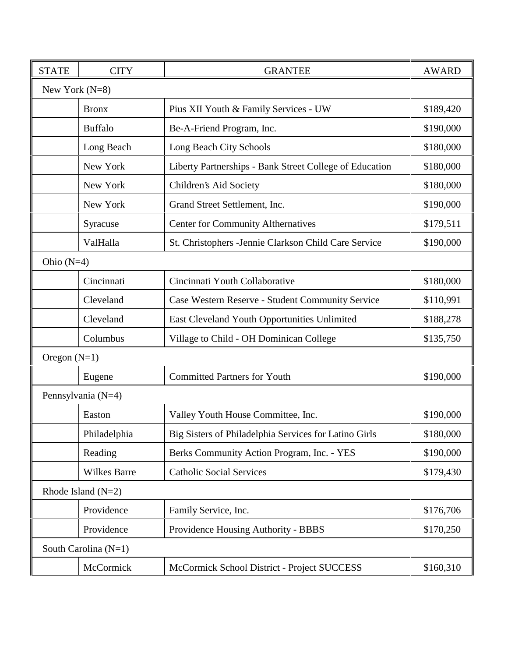| <b>STATE</b>     | <b>CITY</b>          | <b>GRANTEE</b>                                          | <b>AWARD</b> |
|------------------|----------------------|---------------------------------------------------------|--------------|
| New York $(N=8)$ |                      |                                                         |              |
|                  | <b>Bronx</b>         | Pius XII Youth & Family Services - UW                   | \$189,420    |
|                  | <b>Buffalo</b>       | Be-A-Friend Program, Inc.                               | \$190,000    |
|                  | Long Beach           | Long Beach City Schools                                 | \$180,000    |
|                  | New York             | Liberty Partnerships - Bank Street College of Education | \$180,000    |
|                  | New York             | Children's Aid Society                                  | \$180,000    |
|                  | New York             | Grand Street Settlement, Inc.                           | \$190,000    |
|                  | Syracuse             | <b>Center for Community Althernatives</b>               | \$179,511    |
|                  | ValHalla             | St. Christophers - Jennie Clarkson Child Care Service   | \$190,000    |
| Ohio $(N=4)$     |                      |                                                         |              |
|                  | Cincinnati           | Cincinnati Youth Collaborative                          | \$180,000    |
|                  | Cleveland            | Case Western Reserve - Student Community Service        | \$110,991    |
|                  | Cleveland            | East Cleveland Youth Opportunities Unlimited            | \$188,278    |
|                  | Columbus             | Village to Child - OH Dominican College                 | \$135,750    |
| Oregon $(N=1)$   |                      |                                                         |              |
|                  | Eugene               | <b>Committed Partners for Youth</b>                     | \$190,000    |
|                  | Pennsylvania (N=4)   |                                                         |              |
|                  | Easton               | Valley Youth House Committee, Inc.                      | \$190,000    |
|                  | Philadelphia         | Big Sisters of Philadelphia Services for Latino Girls   | \$180,000    |
|                  | Reading              | Berks Community Action Program, Inc. - YES              | \$190,000    |
|                  | <b>Wilkes Barre</b>  | <b>Catholic Social Services</b>                         | \$179,430    |
|                  | Rhode Island $(N=2)$ |                                                         |              |
|                  | Providence           | Family Service, Inc.                                    | \$176,706    |
|                  | Providence           | Providence Housing Authority - BBBS                     | \$170,250    |
|                  | South Carolina (N=1) |                                                         |              |
|                  | McCormick            | McCormick School District - Project SUCCESS             | \$160,310    |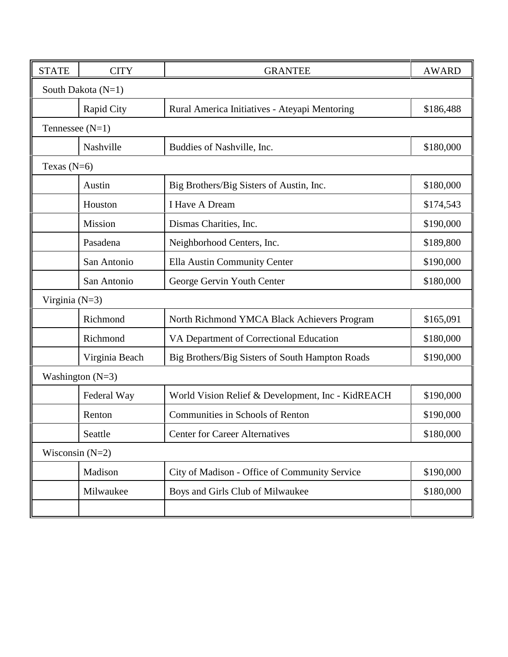| <b>STATE</b>      | <b>CITY</b>        | <b>GRANTEE</b>                                    | <b>AWARD</b> |  |  |  |
|-------------------|--------------------|---------------------------------------------------|--------------|--|--|--|
|                   | South Dakota (N=1) |                                                   |              |  |  |  |
|                   | <b>Rapid City</b>  | Rural America Initiatives - Ateyapi Mentoring     | \$186,488    |  |  |  |
|                   | Tennessee $(N=1)$  |                                                   |              |  |  |  |
|                   | Nashville          | Buddies of Nashville, Inc.                        | \$180,000    |  |  |  |
| Texas $(N=6)$     |                    |                                                   |              |  |  |  |
|                   | Austin             | Big Brothers/Big Sisters of Austin, Inc.          | \$180,000    |  |  |  |
|                   | Houston            | I Have A Dream                                    | \$174,543    |  |  |  |
|                   | Mission            | Dismas Charities, Inc.                            | \$190,000    |  |  |  |
|                   | Pasadena           | Neighborhood Centers, Inc.                        | \$189,800    |  |  |  |
|                   | San Antonio        | Ella Austin Community Center                      | \$190,000    |  |  |  |
|                   | San Antonio        | George Gervin Youth Center                        | \$180,000    |  |  |  |
| Virginia $(N=3)$  |                    |                                                   |              |  |  |  |
|                   | Richmond           | North Richmond YMCA Black Achievers Program       | \$165,091    |  |  |  |
|                   | Richmond           | VA Department of Correctional Education           | \$180,000    |  |  |  |
|                   | Virginia Beach     | Big Brothers/Big Sisters of South Hampton Roads   | \$190,000    |  |  |  |
|                   | Washington $(N=3)$ |                                                   |              |  |  |  |
|                   | Federal Way        | World Vision Relief & Development, Inc - KidREACH | \$190,000    |  |  |  |
|                   | Renton             | Communities in Schools of Renton                  | \$190,000    |  |  |  |
|                   | Seattle            | <b>Center for Career Alternatives</b>             | \$180,000    |  |  |  |
| Wisconsin $(N=2)$ |                    |                                                   |              |  |  |  |
|                   | Madison            | City of Madison - Office of Community Service     | \$190,000    |  |  |  |
|                   | Milwaukee          | Boys and Girls Club of Milwaukee                  | \$180,000    |  |  |  |
|                   |                    |                                                   |              |  |  |  |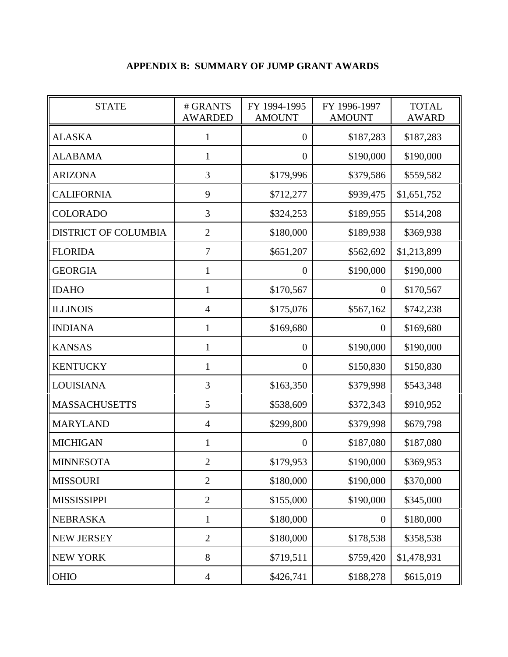## **APPENDIX B: SUMMARY OF JUMP GRANT AWARDS**

| <b>STATE</b>                | # GRANTS<br><b>AWARDED</b> | FY 1994-1995<br><b>AMOUNT</b> | FY 1996-1997<br><b>AMOUNT</b> | <b>TOTAL</b><br><b>AWARD</b> |
|-----------------------------|----------------------------|-------------------------------|-------------------------------|------------------------------|
| <b>ALASKA</b>               | $\mathbf{1}$               | $\overline{0}$                | \$187,283                     | \$187,283                    |
| <b>ALABAMA</b>              | 1                          | $\boldsymbol{0}$              | \$190,000                     | \$190,000                    |
| <b>ARIZONA</b>              | 3                          | \$179,996                     | \$379,586                     | \$559,582                    |
| <b>CALIFORNIA</b>           | 9                          | \$712,277                     | \$939,475                     | \$1,651,752                  |
| <b>COLORADO</b>             | 3                          | \$324,253                     | \$189,955                     | \$514,208                    |
| <b>DISTRICT OF COLUMBIA</b> | $\mathbf{2}$               | \$180,000                     | \$189,938                     | \$369,938                    |
| <b>FLORIDA</b>              | $\overline{7}$             | \$651,207                     | \$562,692                     | \$1,213,899                  |
| <b>GEORGIA</b>              | 1                          | $\boldsymbol{0}$              | \$190,000                     | \$190,000                    |
| <b>IDAHO</b>                | 1                          | \$170,567                     | $\theta$                      | \$170,567                    |
| <b>ILLINOIS</b>             | $\overline{4}$             | \$175,076                     | \$567,162                     | \$742,238                    |
| <b>INDIANA</b>              | 1                          | \$169,680                     | $\theta$                      | \$169,680                    |
| <b>KANSAS</b>               | $\mathbf{1}$               | $\boldsymbol{0}$              | \$190,000                     | \$190,000                    |
| KENTUCKY                    | $\mathbf{1}$               | $\overline{0}$                | \$150,830                     | \$150,830                    |
| <b>LOUISIANA</b>            | 3                          | \$163,350                     | \$379,998                     | \$543,348                    |
| <b>MASSACHUSETTS</b>        | 5                          | \$538,609                     | \$372,343                     | \$910,952                    |
| <b>MARYLAND</b>             | $\overline{4}$             | \$299,800                     | \$379,998                     | \$679,798                    |
| <b>MICHIGAN</b>             | $\mathbf{1}$               | $\boldsymbol{0}$              | \$187,080                     | \$187,080                    |
| <b>MINNESOTA</b>            | $\boldsymbol{2}$           | \$179,953                     | \$190,000                     | \$369,953                    |
| <b>MISSOURI</b>             | $\overline{2}$             | \$180,000                     | \$190,000                     | \$370,000                    |
| <b>MISSISSIPPI</b>          | $\overline{2}$             | \$155,000                     | \$190,000                     | \$345,000                    |
| <b>NEBRASKA</b>             | $\mathbf{1}$               | \$180,000                     | $\boldsymbol{0}$              | \$180,000                    |
| <b>NEW JERSEY</b>           | $\mathbf{2}$               | \$180,000                     | \$178,538                     | \$358,538                    |
| <b>NEW YORK</b>             | 8                          | \$719,511                     | \$759,420                     | \$1,478,931                  |
| <b>OHIO</b>                 | $\overline{4}$             | \$426,741                     | \$188,278                     | \$615,019                    |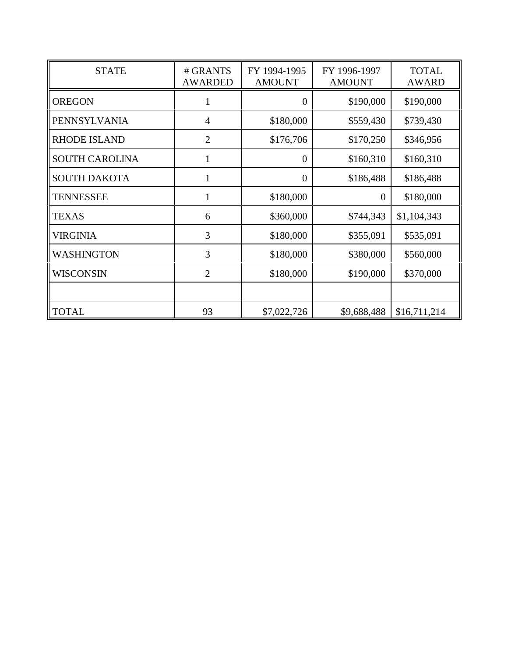| <b>STATE</b>          | # GRANTS<br><b>AWARDED</b> | FY 1994-1995<br><b>AMOUNT</b> | FY 1996-1997<br><b>AMOUNT</b> | <b>TOTAL</b><br><b>AWARD</b> |
|-----------------------|----------------------------|-------------------------------|-------------------------------|------------------------------|
| <b>OREGON</b>         |                            | $\boldsymbol{0}$              | \$190,000                     | \$190,000                    |
| <b>PENNSYLVANIA</b>   | $\overline{4}$             | \$180,000                     | \$559,430                     | \$739,430                    |
| <b>RHODE ISLAND</b>   | $\overline{2}$             | \$176,706                     | \$170,250                     | \$346,956                    |
| <b>SOUTH CAROLINA</b> | $\mathbf{1}$               | $\overline{0}$                | \$160,310                     | \$160,310                    |
| <b>SOUTH DAKOTA</b>   | 1                          | $\overline{0}$                | \$186,488                     | \$186,488                    |
| <b>TENNESSEE</b>      | 1                          | \$180,000                     | $\theta$                      | \$180,000                    |
| <b>TEXAS</b>          | 6                          | \$360,000                     | \$744,343                     | \$1,104,343                  |
| VIRGINIA              | 3                          | \$180,000                     | \$355,091                     | \$535,091                    |
| <b>WASHINGTON</b>     | 3                          | \$180,000                     | \$380,000                     | \$560,000                    |
| <b>WISCONSIN</b>      | $\overline{2}$             | \$180,000                     | \$190,000                     | \$370,000                    |
|                       |                            |                               |                               |                              |
| <b>TOTAL</b>          | 93                         | \$7,022,726                   | \$9,688,488                   | \$16,711,214                 |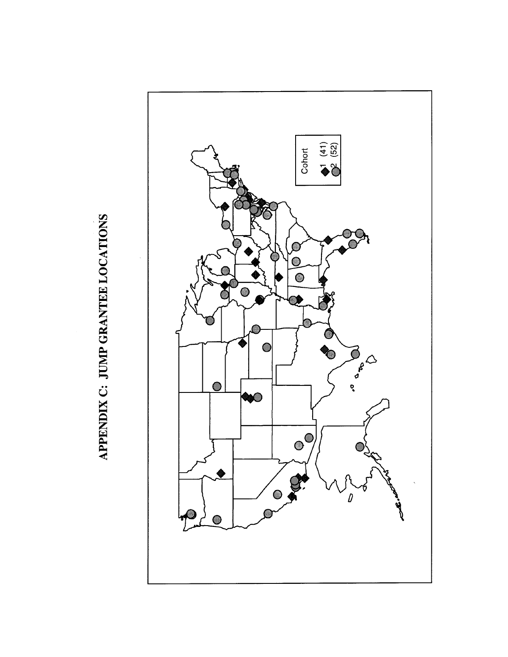

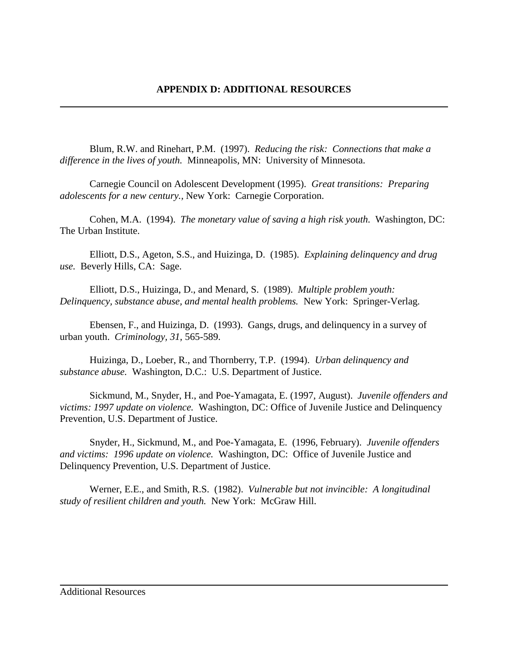Blum, R.W. and Rinehart, P.M. (1997). *Reducing the risk: Connections that make a difference in the lives of youth.* Minneapolis, MN: University of Minnesota.

Carnegie Council on Adolescent Development (1995). *Great transitions: Preparing adolescents for a new century.,* New York: Carnegie Corporation.

Cohen, M.A. (1994). *The monetary value of saving a high risk youth*. Washington, DC: The Urban Institute.

Elliott, D.S., Ageton, S.S., and Huizinga, D. (1985). *Explaining delinquency and drug use.* Beverly Hills, CA: Sage.

Elliott, D.S., Huizinga, D., and Menard, S. (1989). *Multiple problem youth: Delinquency, substance abuse, and mental health problems.* New York: Springer-Verlag.

Ebensen, F., and Huizinga, D. (1993). Gangs, drugs, and delinquency in a survey of urban youth. *Criminology, 31,* 565-589.

Huizinga, D., Loeber, R., and Thornberry, T.P. (1994). *Urban delinquency and substance abuse.* Washington, D.C.: U.S. Department of Justice.

Sickmund, M., Snyder, H., and Poe-Yamagata, E. (1997, August). *Juvenile offenders and victims: 1997 update on violence.* Washington, DC: Office of Juvenile Justice and Delinquency Prevention, U.S. Department of Justice.

Snyder, H., Sickmund, M., and Poe-Yamagata, E. (1996, February). *Juvenile offenders and victims: 1996 update on violence.* Washington, DC: Office of Juvenile Justice and Delinquency Prevention, U.S. Department of Justice.

Werner, E.E., and Smith, R.S. (1982). *Vulnerable but not invincible: A longitudinal study of resilient children and youth.* New York: McGraw Hill.